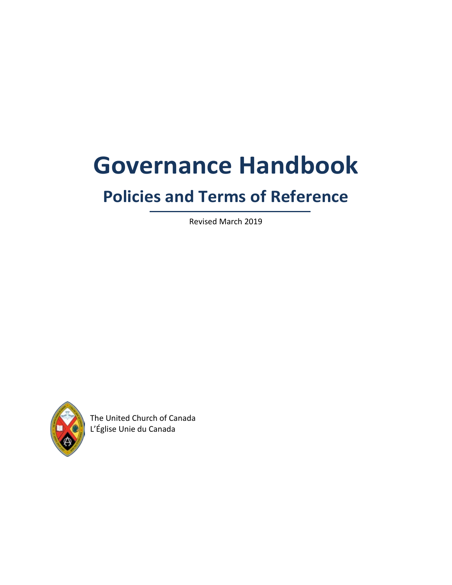# **Governance Handbook**

## **Policies and Terms of Reference**

Revised March 2019



The United Church of Canada L'Église Unie du Canada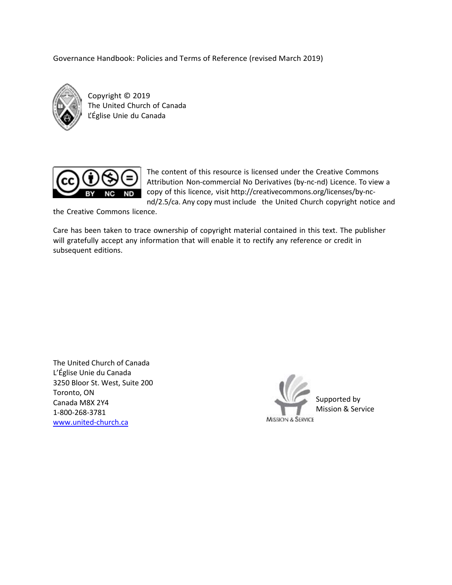Governance Handbook: Policies and Terms of Reference (revised March 2019)



Copyright © 2019 The United Church of Canada L'Église Unie du Canada



The content of this resource is licensed under the Creative Commons Attribution Non-commercial No Derivatives (by-nc-nd) Licence. To view a copy of this licence, visit [http://creativecommons.org/licenses/by-nc](http://creativecommons.org/licenses/by-nc-nd/2.5/ca)[nd/2.5/ca.](http://creativecommons.org/licenses/by-nc-nd/2.5/ca) Any copy must include the United Church copyright notice and

the Creative Commons licence.

Care has been taken to trace ownership of copyright material contained in this text. The publisher will gratefully accept any information that will enable it to rectify any reference or credit in subsequent editions.

The United Church of Canada L'Église Unie du Canada 3250 Bloor St. West, Suite 200 Toronto, ON Canada M8X 2Y4 1-800-268-3781 [www.united-church.ca](https://www.united-church.ca/)

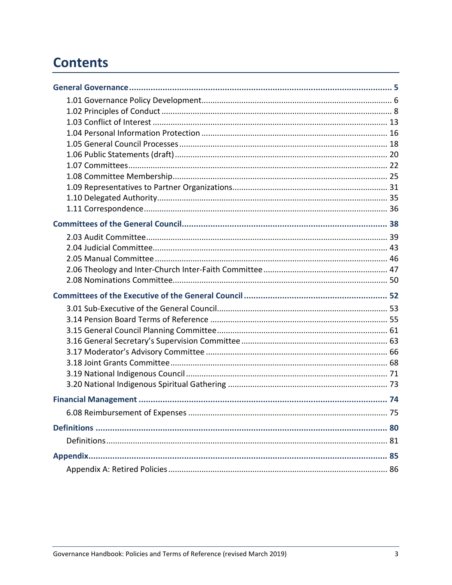## **Contents**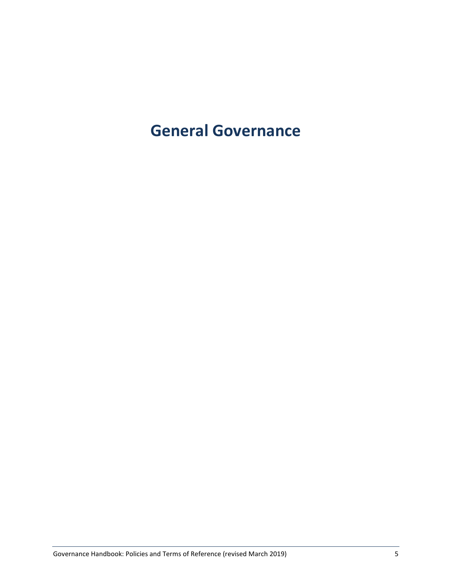## <span id="page-4-0"></span>**General Governance**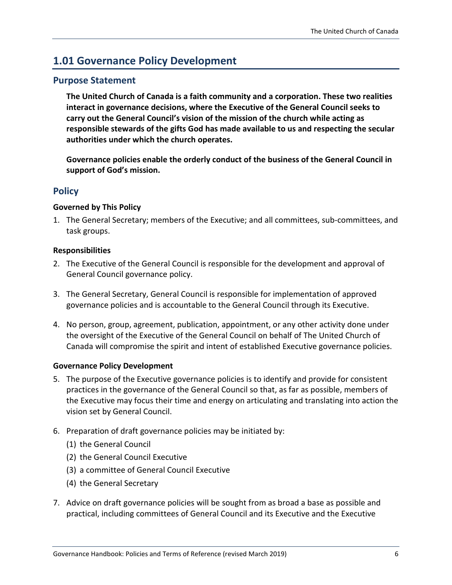## <span id="page-5-0"></span>**1.01 Governance Policy Development**

#### **Purpose Statement**

**The United Church of Canada is a faith community and a corporation. These two realities interact in governance decisions, where the Executive of the General Council seeks to carry out the General Council's vision of the mission of the church while acting as responsible stewards of the gifts God has made available to us and respecting the secular authorities under which the church operates.**

**Governance policies enable the orderly conduct of the business of the General Council in support of God's mission.**

#### **Policy**

#### **Governed by This Policy**

1. The General Secretary; members of the Executive; and all committees, sub-committees, and task groups.

#### **Responsibilities**

- 2. The Executive of the General Council is responsible for the development and approval of General Council governance policy.
- 3. The General Secretary, General Council is responsible for implementation of approved governance policies and is accountable to the General Council through its Executive.
- 4. No person, group, agreement, publication, appointment, or any other activity done under the oversight of the Executive of the General Council on behalf of The United Church of Canada will compromise the spirit and intent of established Executive governance policies.

#### **Governance Policy Development**

- 5. The purpose of the Executive governance policies is to identify and provide for consistent practices in the governance of the General Council so that, as far as possible, members of the Executive may focus their time and energy on articulating and translating into action the vision set by General Council.
- 6. Preparation of draft governance policies may be initiated by:
	- (1) the General Council
	- (2) the General Council Executive
	- (3) a committee of General Council Executive
	- (4) the General Secretary
- 7. Advice on draft governance policies will be sought from as broad a base as possible and practical, including committees of General Council and its Executive and the Executive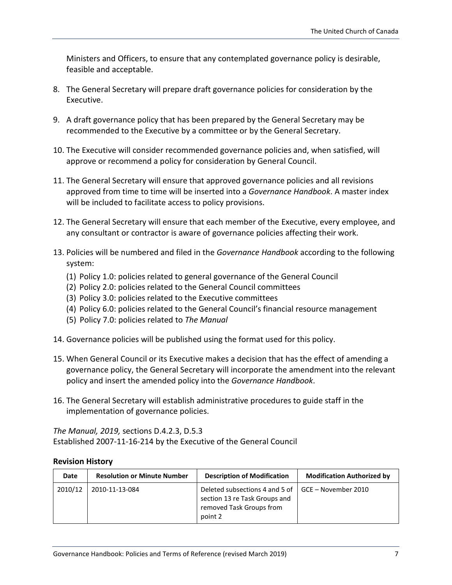Ministers and Officers, to ensure that any contemplated governance policy is desirable, feasible and acceptable.

- 8. The General Secretary will prepare draft governance policies for consideration by the Executive.
- 9. A draft governance policy that has been prepared by the General Secretary may be recommended to the Executive by a committee or by the General Secretary.
- 10. The Executive will consider recommended governance policies and, when satisfied, will approve or recommend a policy for consideration by General Council.
- 11. The General Secretary will ensure that approved governance policies and all revisions approved from time to time will be inserted into a *Governance Handbook*. A master index will be included to facilitate access to policy provisions.
- 12. The General Secretary will ensure that each member of the Executive, every employee, and any consultant or contractor is aware of governance policies affecting their work.
- 13. Policies will be numbered and filed in the *Governance Handbook* according to the following system:
	- (1) Policy 1.0: policies related to general governance of the General Council
	- (2) Policy 2.0: policies related to the General Council committees
	- (3) Policy 3.0: policies related to the Executive committees
	- (4) Policy 6.0: policies related to the General Council's financial resource management
	- (5) Policy 7.0: policies related to *The Manual*
- 14. Governance policies will be published using the format used for this policy.
- 15. When General Council or its Executive makes a decision that has the effect of amending a governance policy, the General Secretary will incorporate the amendment into the relevant policy and insert the amended policy into the *Governance Handbook*.
- 16. The General Secretary will establish administrative procedures to guide staff in the implementation of governance policies.

*The Manual, 2019,* sections D.4.2.3, D.5.3 Established 2007-11-16-214 by the Executive of the General Council

#### **Revision History**

| Date    | <b>Resolution or Minute Number</b> | <b>Description of Modification</b>                                                                     | <b>Modification Authorized by</b> |
|---------|------------------------------------|--------------------------------------------------------------------------------------------------------|-----------------------------------|
| 2010/12 | 2010-11-13-084                     | Deleted subsections 4 and 5 of<br>section 13 re Task Groups and<br>removed Task Groups from<br>point 2 | GCE – November 2010               |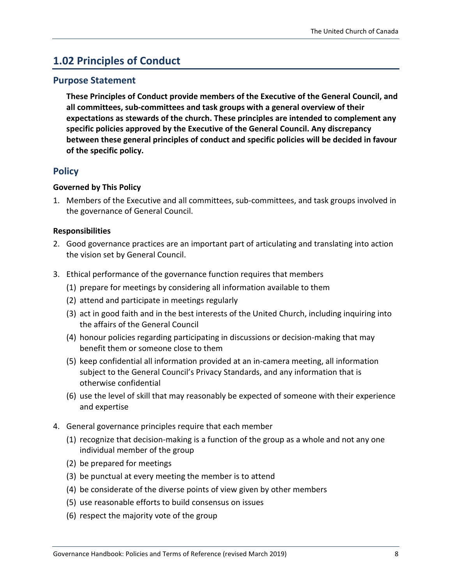## <span id="page-7-0"></span>**1.02 Principles of Conduct**

#### **Purpose Statement**

**These Principles of Conduct provide members of the Executive of the General Council, and all committees, sub-committees and task groups with a general overview of their expectations as stewards of the church. These principles are intended to complement any specific policies approved by the Executive of the General Council. Any discrepancy between these general principles of conduct and specific policies will be decided in favour of the specific policy.**

#### **Policy**

#### **Governed by This Policy**

1. Members of the Executive and all committees, sub-committees, and task groups involved in the governance of General Council.

#### **Responsibilities**

- 2. Good governance practices are an important part of articulating and translating into action the vision set by General Council.
- 3. Ethical performance of the governance function requires that members
	- (1) prepare for meetings by considering all information available to them
	- (2) attend and participate in meetings regularly
	- (3) act in good faith and in the best interests of the United Church, including inquiring into the affairs of the General Council
	- (4) honour policies regarding participating in discussions or decision-making that may benefit them or someone close to them
	- (5) keep confidential all information provided at an in-camera meeting, all information subject to the General Council's Privacy Standards, and any information that is otherwise confidential
	- (6) use the level of skill that may reasonably be expected of someone with their experience and expertise
- 4. General governance principles require that each member
	- (1) recognize that decision-making is a function of the group as a whole and not any one individual member of the group
	- (2) be prepared for meetings
	- (3) be punctual at every meeting the member is to attend
	- (4) be considerate of the diverse points of view given by other members
	- (5) use reasonable efforts to build consensus on issues
	- (6) respect the majority vote of the group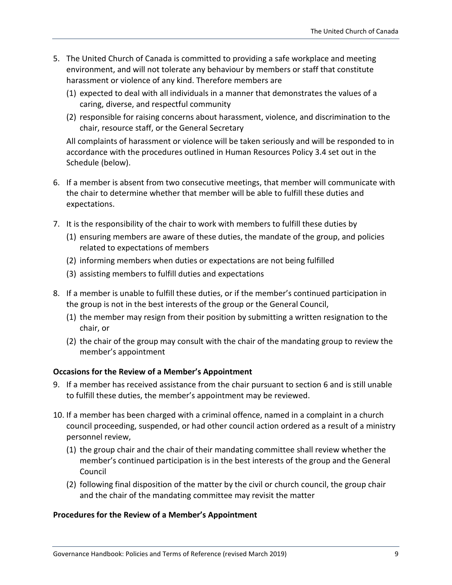- 5. The United Church of Canada is committed to providing a safe workplace and meeting environment, and will not tolerate any behaviour by members or staff that constitute harassment or violence of any kind. Therefore members are
	- (1) expected to deal with all individuals in a manner that demonstrates the values of a caring, diverse, and respectful community
	- (2) responsible for raising concerns about harassment, violence, and discrimination to the chair, resource staff, or the General Secretary

All complaints of harassment or violence will be taken seriously and will be responded to in accordance with the procedures outlined in Human Resources Policy 3.4 set out in the Schedule (below).

- 6. If a member is absent from two consecutive meetings, that member will communicate with the chair to determine whether that member will be able to fulfill these duties and expectations.
- 7. It is the responsibility of the chair to work with members to fulfill these duties by
	- (1) ensuring members are aware of these duties, the mandate of the group, and policies related to expectations of members
	- (2) informing members when duties or expectations are not being fulfilled
	- (3) assisting members to fulfill duties and expectations
- 8. If a member is unable to fulfill these duties, or if the member's continued participation in the group is not in the best interests of the group or the General Council,
	- (1) the member may resign from their position by submitting a written resignation to the chair, or
	- (2) the chair of the group may consult with the chair of the mandating group to review the member's appointment

#### **Occasions for the Review of a Member's Appointment**

- 9. If a member has received assistance from the chair pursuant to section 6 and is still unable to fulfill these duties, the member's appointment may be reviewed.
- 10. If a member has been charged with a criminal offence, named in a complaint in a church council proceeding, suspended, or had other council action ordered as a result of a ministry personnel review,
	- (1) the group chair and the chair of their mandating committee shall review whether the member's continued participation is in the best interests of the group and the General Council
	- (2) following final disposition of the matter by the civil or church council, the group chair and the chair of the mandating committee may revisit the matter

#### **Procedures for the Review of a Member's Appointment**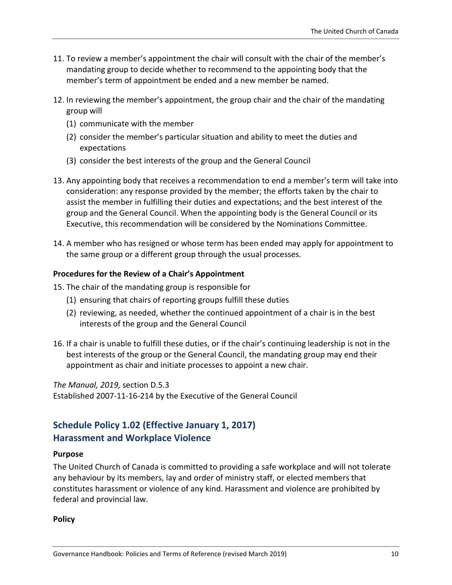- 11. To review a member's appointment the chair will consult with the chair of the member's mandating group to decide whether to recommend to the appointing body that the member's term of appointment be ended and a new member be named.
- 12. In reviewing the member's appointment, the group chair and the chair of the mandating group will
	- (1) communicate with the member
	- (2) consider the member's particular situation and ability to meet the duties and expectations
	- (3) consider the best interests of the group and the General Council
- 13. Any appointing body that receives a recommendation to end a member's term will take into consideration: any response provided by the member; the efforts taken by the chair to assist the member in fulfilling their duties and expectations; and the best interest of the group and the General Council. When the appointing body is the General Council or its Executive, this recommendation will be considered by the Nominations Committee.
- 14. A member who has resigned or whose term has been ended may apply for appointment to the same group or a different group through the usual processes.

#### **Procedures for the Review of a Chair's Appointment**

15. The chair of the mandating group is responsible for

- (1) ensuring that chairs of reporting groups fulfill these duties
- (2) reviewing, as needed, whether the continued appointment of a chair is in the best interests of the group and the General Council
- 16. If a chair is unable to fulfill these duties, or if the chair's continuing leadership is not in the best interests of the group or the General Council, the mandating group may end their appointment as chair and initiate processes to appoint a new chair.

*The Manual, 2019,* section D.5.3 Established 2007-11-16-214 by the Executive of the General Council

#### **Schedule Policy 1.02 (Effective January 1, 2017) Harassment and Workplace Violence**

#### **Purpose**

The United Church of Canada is committed to providing a safe workplace and will not tolerate any behaviour by its members, lay and order of ministry staff, or elected members that constitutes harassment or violence of any kind. Harassment and violence are prohibited by federal and provincial law.

**Policy**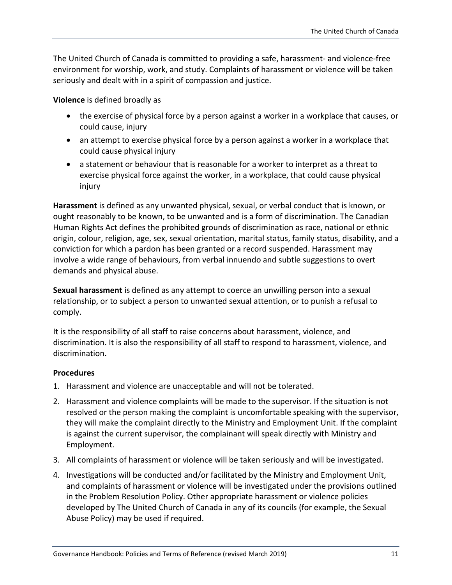The United Church of Canada is committed to providing a safe, harassment- and violence-free environment for worship, work, and study. Complaints of harassment or violence will be taken seriously and dealt with in a spirit of compassion and justice.

**Violence** is defined broadly as

- the exercise of physical force by a person against a worker in a workplace that causes, or could cause, injury
- an attempt to exercise physical force by a person against a worker in a workplace that could cause physical injury
- a statement or behaviour that is reasonable for a worker to interpret as a threat to exercise physical force against the worker, in a workplace, that could cause physical injury

**Harassment** is defined as any unwanted physical, sexual, or verbal conduct that is known, or ought reasonably to be known, to be unwanted and is a form of discrimination. The Canadian Human Rights Act defines the prohibited grounds of discrimination as race, national or ethnic origin, colour, religion, age, sex, sexual orientation, marital status, family status, disability, and a conviction for which a pardon has been granted or a record suspended. Harassment may involve a wide range of behaviours, from verbal innuendo and subtle suggestions to overt demands and physical abuse.

**Sexual harassment** is defined as any attempt to coerce an unwilling person into a sexual relationship, or to subject a person to unwanted sexual attention, or to punish a refusal to comply.

It is the responsibility of all staff to raise concerns about harassment, violence, and discrimination. It is also the responsibility of all staff to respond to harassment, violence, and discrimination.

#### **Procedures**

- 1. Harassment and violence are unacceptable and will not be tolerated.
- 2. Harassment and violence complaints will be made to the supervisor. If the situation is not resolved or the person making the complaint is uncomfortable speaking with the supervisor, they will make the complaint directly to the Ministry and Employment Unit. If the complaint is against the current supervisor, the complainant will speak directly with Ministry and Employment.
- 3. All complaints of harassment or violence will be taken seriously and will be investigated.
- 4. Investigations will be conducted and/or facilitated by the Ministry and Employment Unit, and complaints of harassment or violence will be investigated under the provisions outlined in the Problem Resolution Policy. Other appropriate harassment or violence policies developed by The United Church of Canada in any of its councils (for example, the Sexual Abuse Policy) may be used if required.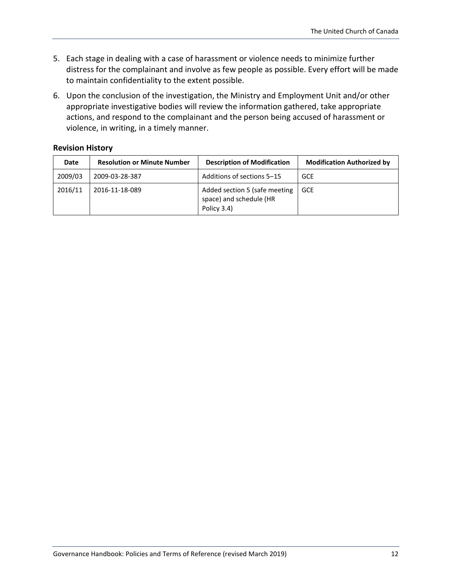- 5. Each stage in dealing with a case of harassment or violence needs to minimize further distress for the complainant and involve as few people as possible. Every effort will be made to maintain confidentiality to the extent possible.
- 6. Upon the conclusion of the investigation, the Ministry and Employment Unit and/or other appropriate investigative bodies will review the information gathered, take appropriate actions, and respond to the complainant and the person being accused of harassment or violence, in writing, in a timely manner.

#### **Revision History**

| Date    | <b>Resolution or Minute Number</b> | <b>Description of Modification</b>                                      | <b>Modification Authorized by</b> |
|---------|------------------------------------|-------------------------------------------------------------------------|-----------------------------------|
| 2009/03 | 2009-03-28-387                     | Additions of sections 5-15                                              | GCE                               |
| 2016/11 | 2016-11-18-089                     | Added section 5 (safe meeting<br>space) and schedule (HR<br>Policy 3.4) | <b>GCE</b>                        |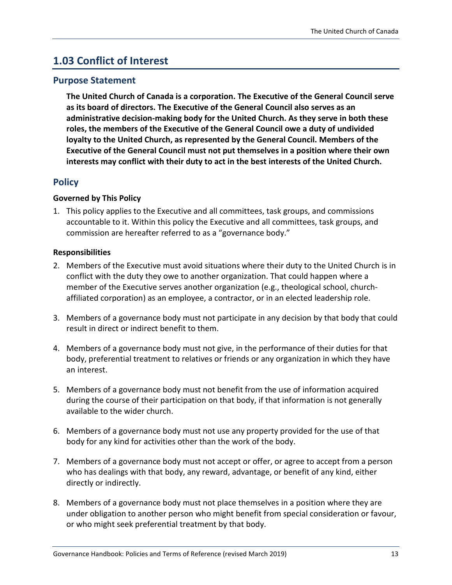## <span id="page-12-0"></span>**1.03 Conflict of Interest**

#### **Purpose Statement**

**The United Church of Canada is a corporation. The Executive of the General Council serve as its board of directors. The Executive of the General Council also serves as an administrative decision-making body for the United Church. As they serve in both these roles, the members of the Executive of the General Council owe a duty of undivided loyalty to the United Church, as represented by the General Council. Members of the Executive of the General Council must not put themselves in a position where their own interests may conflict with their duty to act in the best interests of the United Church.** 

#### **Policy**

#### **Governed by This Policy**

1. This policy applies to the Executive and all committees, task groups, and commissions accountable to it. Within this policy the Executive and all committees, task groups, and commission are hereafter referred to as a "governance body."

#### **Responsibilities**

- 2. Members of the Executive must avoid situations where their duty to the United Church is in conflict with the duty they owe to another organization. That could happen where a member of the Executive serves another organization (e.g., theological school, churchaffiliated corporation) as an employee, a contractor, or in an elected leadership role.
- 3. Members of a governance body must not participate in any decision by that body that could result in direct or indirect benefit to them.
- 4. Members of a governance body must not give, in the performance of their duties for that body, preferential treatment to relatives or friends or any organization in which they have an interest.
- 5. Members of a governance body must not benefit from the use of information acquired during the course of their participation on that body, if that information is not generally available to the wider church.
- 6. Members of a governance body must not use any property provided for the use of that body for any kind for activities other than the work of the body.
- 7. Members of a governance body must not accept or offer, or agree to accept from a person who has dealings with that body, any reward, advantage, or benefit of any kind, either directly or indirectly.
- 8. Members of a governance body must not place themselves in a position where they are under obligation to another person who might benefit from special consideration or favour, or who might seek preferential treatment by that body.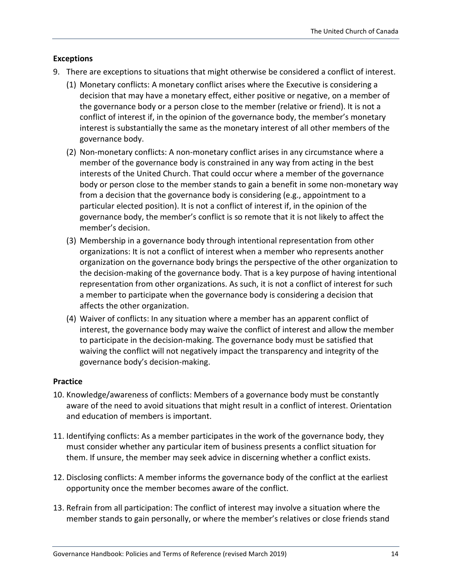#### **Exceptions**

- 9. There are exceptions to situations that might otherwise be considered a conflict of interest.
	- (1) Monetary conflicts: A monetary conflict arises where the Executive is considering a decision that may have a monetary effect, either positive or negative, on a member of the governance body or a person close to the member (relative or friend). It is not a conflict of interest if, in the opinion of the governance body, the member's monetary interest is substantially the same as the monetary interest of all other members of the governance body.
	- (2) Non-monetary conflicts: A non-monetary conflict arises in any circumstance where a member of the governance body is constrained in any way from acting in the best interests of the United Church. That could occur where a member of the governance body or person close to the member stands to gain a benefit in some non-monetary way from a decision that the governance body is considering (e.g., appointment to a particular elected position). It is not a conflict of interest if, in the opinion of the governance body, the member's conflict is so remote that it is not likely to affect the member's decision.
	- (3) Membership in a governance body through intentional representation from other organizations: It is not a conflict of interest when a member who represents another organization on the governance body brings the perspective of the other organization to the decision-making of the governance body. That is a key purpose of having intentional representation from other organizations. As such, it is not a conflict of interest for such a member to participate when the governance body is considering a decision that affects the other organization.
	- (4) Waiver of conflicts: In any situation where a member has an apparent conflict of interest, the governance body may waive the conflict of interest and allow the member to participate in the decision-making. The governance body must be satisfied that waiving the conflict will not negatively impact the transparency and integrity of the governance body's decision-making.

#### **Practice**

- 10. Knowledge/awareness of conflicts: Members of a governance body must be constantly aware of the need to avoid situations that might result in a conflict of interest. Orientation and education of members is important.
- 11. Identifying conflicts: As a member participates in the work of the governance body, they must consider whether any particular item of business presents a conflict situation for them. If unsure, the member may seek advice in discerning whether a conflict exists.
- 12. Disclosing conflicts: A member informs the governance body of the conflict at the earliest opportunity once the member becomes aware of the conflict.
- 13. Refrain from all participation: The conflict of interest may involve a situation where the member stands to gain personally, or where the member's relatives or close friends stand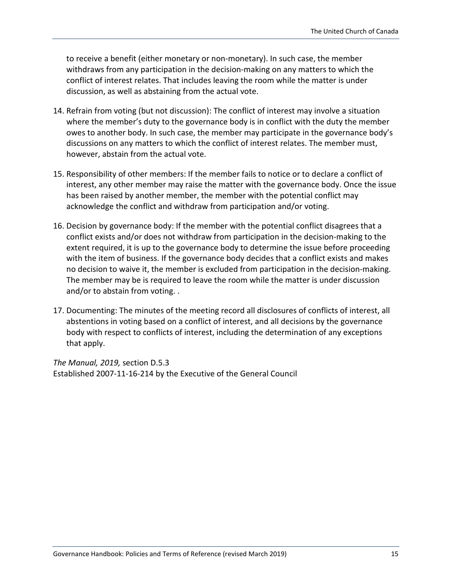to receive a benefit (either monetary or non-monetary). In such case, the member withdraws from any participation in the decision-making on any matters to which the conflict of interest relates. That includes leaving the room while the matter is under discussion, as well as abstaining from the actual vote.

- 14. Refrain from voting (but not discussion): The conflict of interest may involve a situation where the member's duty to the governance body is in conflict with the duty the member owes to another body. In such case, the member may participate in the governance body's discussions on any matters to which the conflict of interest relates. The member must, however, abstain from the actual vote.
- 15. Responsibility of other members: If the member fails to notice or to declare a conflict of interest, any other member may raise the matter with the governance body. Once the issue has been raised by another member, the member with the potential conflict may acknowledge the conflict and withdraw from participation and/or voting.
- 16. Decision by governance body: If the member with the potential conflict disagrees that a conflict exists and/or does not withdraw from participation in the decision-making to the extent required, it is up to the governance body to determine the issue before proceeding with the item of business. If the governance body decides that a conflict exists and makes no decision to waive it, the member is excluded from participation in the decision-making. The member may be is required to leave the room while the matter is under discussion and/or to abstain from voting. .
- 17. Documenting: The minutes of the meeting record all disclosures of conflicts of interest, all abstentions in voting based on a conflict of interest, and all decisions by the governance body with respect to conflicts of interest, including the determination of any exceptions that apply.

*The Manual, 2019,* section D.5.3 Established 2007-11-16-214 by the Executive of the General Council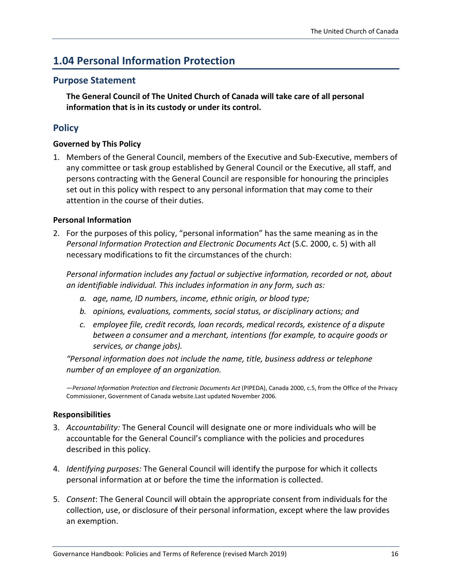## <span id="page-15-0"></span>**1.04 Personal Information Protection**

#### **Purpose Statement**

**The General Council of The United Church of Canada will take care of all personal information that is in its custody or under its control.**

#### **Policy**

#### **Governed by This Policy**

1. Members of the General Council, members of the Executive and Sub-Executive, members of any committee or task group established by General Council or the Executive, all staff, and persons contracting with the General Council are responsible for honouring the principles set out in this policy with respect to any personal information that may come to their attention in the course of their duties.

#### **Personal Information**

2. For the purposes of this policy, "personal information" has the same meaning as in the *Personal Information Protection and Electronic Documents Act* (S.C. 2000, c. 5) with all necessary modifications to fit the circumstances of the church:

*Personal information includes any factual or subjective information, recorded or not, about an identifiable individual. This includes information in any form, such as:*

- *a. age, name, ID numbers, income, ethnic origin, or blood type;*
- *b. opinions, evaluations, comments, social status, or disciplinary actions; and*
- *c. employee file, credit records, loan records, medical records, existence of a dispute between a consumer and a merchant, intentions (for example, to acquire goods or services, or change jobs).*

*"Personal information does not include the name, title, business address or telephone number of an employee of an organization.*

—*Personal Information Protection and Electronic Documents Act* (PIPEDA), Canada 2000, c.5, from the Office of the Privacy Commissioner, Government of Canada website.Last updated November 2006.

#### **Responsibilities**

- 3. *Accountability:* The General Council will designate one or more individuals who will be accountable for the General Council's compliance with the policies and procedures described in this policy.
- 4. *Identifying purposes:* The General Council will identify the purpose for which it collects personal information at or before the time the information is collected.
- 5. *Consent*: The General Council will obtain the appropriate consent from individuals for the collection, use, or disclosure of their personal information, except where the law provides an exemption.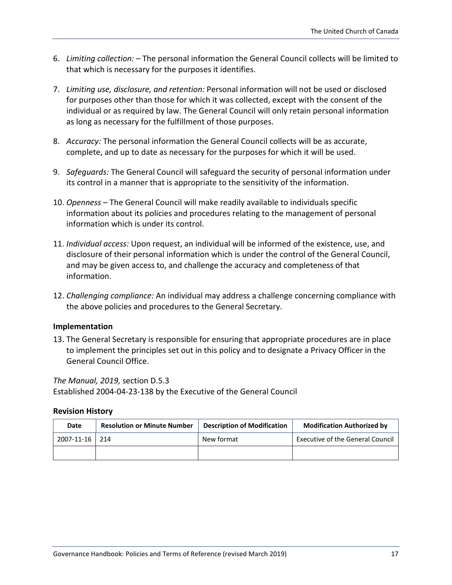- 6. *Limiting collection:* The personal information the General Council collects will be limited to that which is necessary for the purposes it identifies.
- 7. *Limiting use, disclosure, and retention:* Personal information will not be used or disclosed for purposes other than those for which it was collected, except with the consent of the individual or as required by law. The General Council will only retain personal information as long as necessary for the fulfillment of those purposes.
- 8. *Accuracy:* The personal information the General Council collects will be as accurate, complete, and up to date as necessary for the purposes for which it will be used.
- 9. *Safeguards:* The General Council will safeguard the security of personal information under its control in a manner that is appropriate to the sensitivity of the information.
- 10. *Openness* The General Council will make readily available to individuals specific information about its policies and procedures relating to the management of personal information which is under its control.
- 11. *Individual access:* Upon request, an individual will be informed of the existence, use, and disclosure of their personal information which is under the control of the General Council, and may be given access to, and challenge the accuracy and completeness of that information.
- 12. *Challenging compliance:* An individual may address a challenge concerning compliance with the above policies and procedures to the General Secretary.

#### **Implementation**

13. The General Secretary is responsible for ensuring that appropriate procedures are in place to implement the principles set out in this policy and to designate a Privacy Officer in the General Council Office.

*The Manual, 2019,* section D.5.3 Established 2004-04-23-138 by the Executive of the General Council

#### **Revision History**

| Date         | <b>Resolution or Minute Number</b> | <b>Description of Modification</b> | <b>Modification Authorized by</b>       |
|--------------|------------------------------------|------------------------------------|-----------------------------------------|
| 2007-11-16 L | 214                                | New format                         | <b>Executive of the General Council</b> |
|              |                                    |                                    |                                         |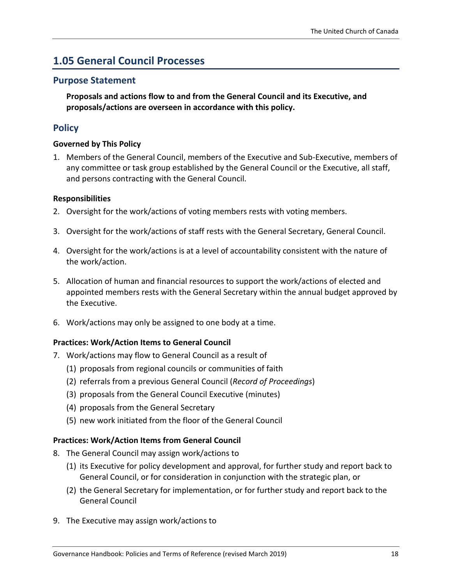## <span id="page-17-0"></span>**1.05 General Council Processes**

#### **Purpose Statement**

**Proposals and actions flow to and from the General Council and its Executive, and proposals/actions are overseen in accordance with this policy.**

#### **Policy**

#### **Governed by This Policy**

1. Members of the General Council, members of the Executive and Sub-Executive, members of any committee or task group established by the General Council or the Executive, all staff, and persons contracting with the General Council.

#### **Responsibilities**

- 2. Oversight for the work/actions of voting members rests with voting members.
- 3. Oversight for the work/actions of staff rests with the General Secretary, General Council.
- 4. Oversight for the work/actions is at a level of accountability consistent with the nature of the work/action.
- 5. Allocation of human and financial resources to support the work/actions of elected and appointed members rests with the General Secretary within the annual budget approved by the Executive.
- 6. Work/actions may only be assigned to one body at a time.

#### **Practices: Work/Action Items to General Council**

- 7. Work/actions may flow to General Council as a result of
	- (1) proposals from regional councils or communities of faith
	- (2) referrals from a previous General Council (*Record of Proceedings*)
	- (3) proposals from the General Council Executive (minutes)
	- (4) proposals from the General Secretary
	- (5) new work initiated from the floor of the General Council

#### **Practices: Work/Action Items from General Council**

- 8. The General Council may assign work/actions to
	- (1) its Executive for policy development and approval, for further study and report back to General Council, or for consideration in conjunction with the strategic plan, or
	- (2) the General Secretary for implementation, or for further study and report back to the General Council
- 9. The Executive may assign work/actions to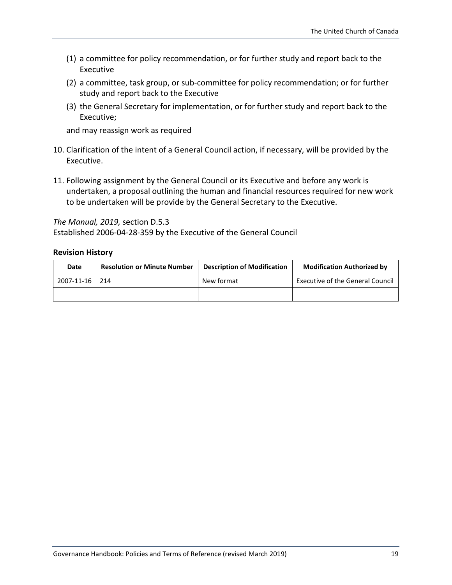- (1) a committee for policy recommendation, or for further study and report back to the Executive
- (2) a committee, task group, or sub-committee for policy recommendation; or for further study and report back to the Executive
- (3) the General Secretary for implementation, or for further study and report back to the Executive;

and may reassign work as required

- 10. Clarification of the intent of a General Council action, if necessary, will be provided by the Executive.
- 11. Following assignment by the General Council or its Executive and before any work is undertaken, a proposal outlining the human and financial resources required for new work to be undertaken will be provide by the General Secretary to the Executive.

*The Manual, 2019,* section D.5.3

Established 2006-04-28-359 by the Executive of the General Council

#### **Revision History**

| Date       | <b>Resolution or Minute Number</b> | <b>Description of Modification</b> | <b>Modification Authorized by</b>       |
|------------|------------------------------------|------------------------------------|-----------------------------------------|
| 2007-11-16 | 214                                | New format                         | <b>Executive of the General Council</b> |
|            |                                    |                                    |                                         |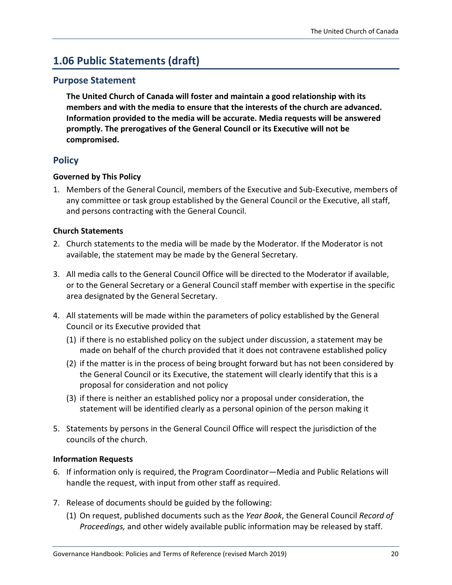## <span id="page-19-0"></span>**1.06 Public Statements (draft)**

#### **Purpose Statement**

**The United Church of Canada will foster and maintain a good relationship with its members and with the media to ensure that the interests of the church are advanced. Information provided to the media will be accurate. Media requests will be answered promptly. The prerogatives of the General Council or its Executive will not be compromised.**

#### **Policy**

#### **Governed by This Policy**

1. Members of the General Council, members of the Executive and Sub-Executive, members of any committee or task group established by the General Council or the Executive, all staff, and persons contracting with the General Council.

#### **Church Statements**

- 2. Church statements to the media will be made by the Moderator. If the Moderator is not available, the statement may be made by the General Secretary.
- 3. All media calls to the General Council Office will be directed to the Moderator if available, or to the General Secretary or a General Council staff member with expertise in the specific area designated by the General Secretary.
- 4. All statements will be made within the parameters of policy established by the General Council or its Executive provided that
	- (1) if there is no established policy on the subject under discussion, a statement may be made on behalf of the church provided that it does not contravene established policy
	- (2) if the matter is in the process of being brought forward but has not been considered by the General Council or its Executive, the statement will clearly identify that this is a proposal for consideration and not policy
	- (3) if there is neither an established policy nor a proposal under consideration, the statement will be identified clearly as a personal opinion of the person making it
- 5. Statements by persons in the General Council Office will respect the jurisdiction of the councils of the church.

#### **Information Requests**

- 6. If information only is required, the Program Coordinator—Media and Public Relations will handle the request, with input from other staff as required.
- 7. Release of documents should be guided by the following:
	- (1) On request, published documents such as the *Year Book*, the General Council *Record of Proceedings,* and other widely available public information may be released by staff.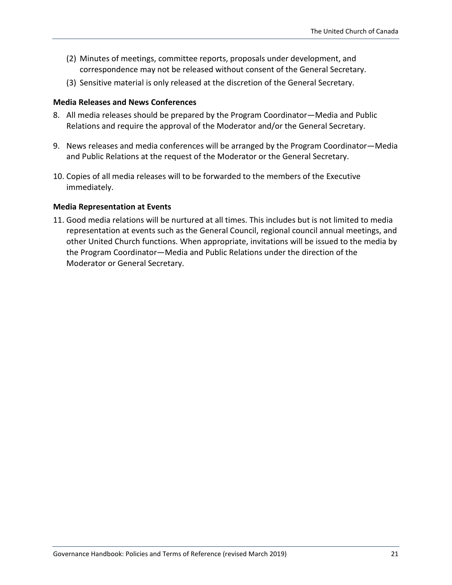- (2) Minutes of meetings, committee reports, proposals under development, and correspondence may not be released without consent of the General Secretary.
- (3) Sensitive material is only released at the discretion of the General Secretary.

#### **Media Releases and News Conferences**

- 8. All media releases should be prepared by the Program Coordinator—Media and Public Relations and require the approval of the Moderator and/or the General Secretary.
- 9. News releases and media conferences will be arranged by the Program Coordinator—Media and Public Relations at the request of the Moderator or the General Secretary.
- 10. Copies of all media releases will to be forwarded to the members of the Executive immediately.

#### **Media Representation at Events**

11. Good media relations will be nurtured at all times. This includes but is not limited to media representation at events such as the General Council, regional council annual meetings, and other United Church functions. When appropriate, invitations will be issued to the media by the Program Coordinator—Media and Public Relations under the direction of the Moderator or General Secretary.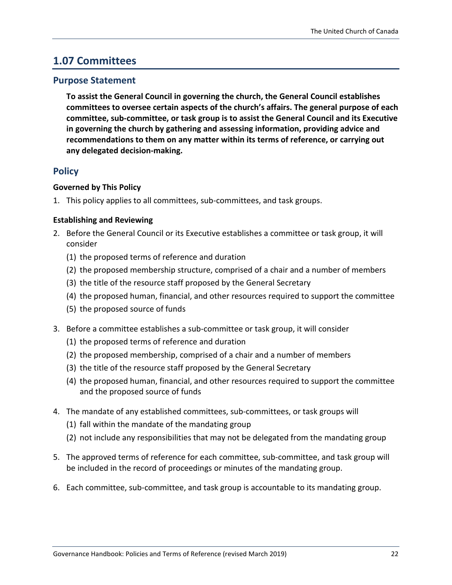### <span id="page-21-0"></span>**1.07 Committees**

#### **Purpose Statement**

**To assist the General Council in governing the church, the General Council establishes committees to oversee certain aspects of the church's affairs. The general purpose of each committee, sub-committee, or task group is to assist the General Council and its Executive in governing the church by gathering and assessing information, providing advice and recommendations to them on any matter within its terms of reference, or carrying out any delegated decision-making.**

#### **Policy**

#### **Governed by This Policy**

1. This policy applies to all committees, sub-committees, and task groups.

#### **Establishing and Reviewing**

- 2. Before the General Council or its Executive establishes a committee or task group, it will consider
	- (1) the proposed terms of reference and duration
	- (2) the proposed membership structure, comprised of a chair and a number of members
	- (3) the title of the resource staff proposed by the General Secretary
	- (4) the proposed human, financial, and other resources required to support the committee
	- (5) the proposed source of funds
- 3. Before a committee establishes a sub-committee or task group, it will consider
	- (1) the proposed terms of reference and duration
	- (2) the proposed membership, comprised of a chair and a number of members
	- (3) the title of the resource staff proposed by the General Secretary
	- (4) the proposed human, financial, and other resources required to support the committee and the proposed source of funds
- 4. The mandate of any established committees, sub-committees, or task groups will
	- (1) fall within the mandate of the mandating group
	- (2) not include any responsibilities that may not be delegated from the mandating group
- 5. The approved terms of reference for each committee, sub-committee, and task group will be included in the record of proceedings or minutes of the mandating group.
- 6. Each committee, sub-committee, and task group is accountable to its mandating group.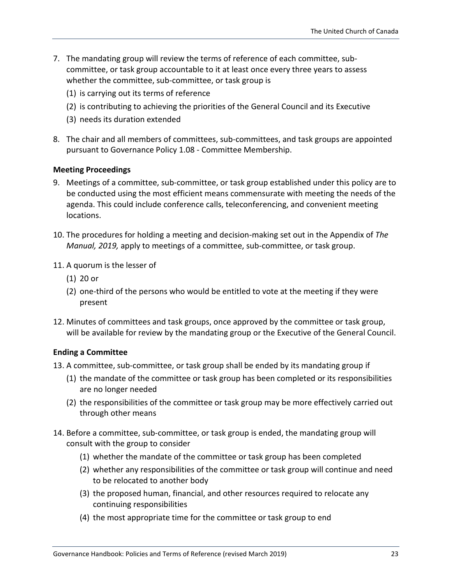- 7. The mandating group will review the terms of reference of each committee, subcommittee, or task group accountable to it at least once every three years to assess whether the committee, sub-committee, or task group is
	- (1) is carrying out its terms of reference
	- (2) is contributing to achieving the priorities of the General Council and its Executive
	- (3) needs its duration extended
- 8. The chair and all members of committees, sub-committees, and task groups are appointed pursuant to Governance Policy 1.08 - Committee Membership.

#### **Meeting Proceedings**

- 9. Meetings of a committee, sub-committee, or task group established under this policy are to be conducted using the most efficient means commensurate with meeting the needs of the agenda. This could include conference calls, teleconferencing, and convenient meeting locations.
- 10. The procedures for holding a meeting and decision-making set out in the Appendix of *The Manual, 2019,* apply to meetings of a committee, sub-committee, or task group.
- 11. A quorum is the lesser of
	- (1) 20 or
	- (2) one-third of the persons who would be entitled to vote at the meeting if they were present
- 12. Minutes of committees and task groups, once approved by the committee or task group, will be available for review by the mandating group or the Executive of the General Council.

#### **Ending a Committee**

- 13. A committee, sub-committee, or task group shall be ended by its mandating group if
	- (1) the mandate of the committee or task group has been completed or its responsibilities are no longer needed
	- (2) the responsibilities of the committee or task group may be more effectively carried out through other means
- 14. Before a committee, sub-committee, or task group is ended, the mandating group will consult with the group to consider
	- (1) whether the mandate of the committee or task group has been completed
	- (2) whether any responsibilities of the committee or task group will continue and need to be relocated to another body
	- (3) the proposed human, financial, and other resources required to relocate any continuing responsibilities
	- (4) the most appropriate time for the committee or task group to end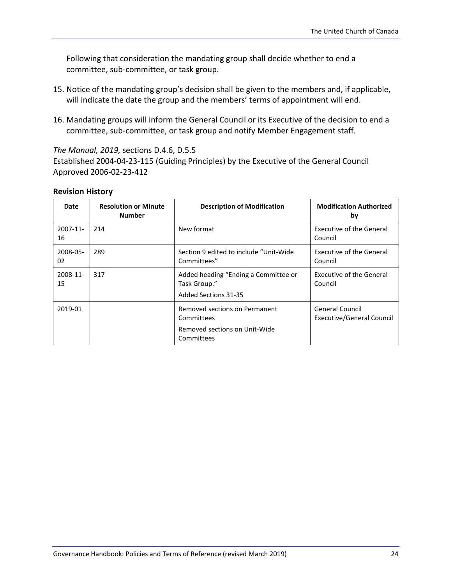Following that consideration the mandating group shall decide whether to end a committee, sub-committee, or task group.

- 15. Notice of the mandating group's decision shall be given to the members and, if applicable, will indicate the date the group and the members' terms of appointment will end.
- 16. Mandating groups will inform the General Council or its Executive of the decision to end a committee, sub-committee, or task group and notify Member Engagement staff.

*The Manual, 2019,* sections D.4.6, D.5.5

Established 2004-04-23-115 (Guiding Principles) by the Executive of the General Council Approved 2006-02-23-412

#### **Revision History**

| Date              | <b>Resolution or Minute</b><br><b>Number</b> | <b>Description of Modification</b>                                           | <b>Modification Authorized</b><br>by                |
|-------------------|----------------------------------------------|------------------------------------------------------------------------------|-----------------------------------------------------|
| $2007 - 11$<br>16 | 214                                          | New format                                                                   | Executive of the General<br>Council                 |
| 2008-05-<br>02    | 289                                          | Section 9 edited to include "Unit-Wide"<br>Committees"                       | <b>Executive of the General</b><br>Council          |
| 2008-11-<br>15    | 317                                          | Added heading "Ending a Committee or<br>Task Group."<br>Added Sections 31-35 | Executive of the General<br>Council                 |
| 2019-01           |                                              | Removed sections on Permanent<br>Committees<br>Removed sections on Unit-Wide | <b>General Council</b><br>Executive/General Council |
|                   |                                              | Committees                                                                   |                                                     |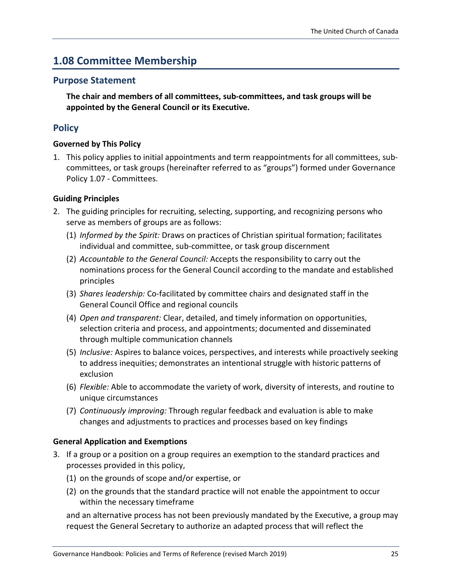## <span id="page-24-0"></span>**1.08 Committee Membership**

#### **Purpose Statement**

**The chair and members of all committees, sub-committees, and task groups will be appointed by the General Council or its Executive.**

#### **Policy**

#### **Governed by This Policy**

1. This policy applies to initial appointments and term reappointments for all committees, subcommittees, or task groups (hereinafter referred to as "groups") formed under Governance Policy 1.07 - Committees.

#### **Guiding Principles**

- 2. The guiding principles for recruiting, selecting, supporting, and recognizing persons who serve as members of groups are as follows:
	- (1) *Informed by the Spirit:* Draws on practices of Christian spiritual formation; facilitates individual and committee, sub-committee, or task group discernment
	- (2) *Accountable to the General Council:* Accepts the responsibility to carry out the nominations process for the General Council according to the mandate and established principles
	- (3) *Shares leadership:* Co-facilitated by committee chairs and designated staff in the General Council Office and regional councils
	- (4) *Open and transparent:* Clear, detailed, and timely information on opportunities, selection criteria and process, and appointments; documented and disseminated through multiple communication channels
	- (5) *Inclusive:* Aspires to balance voices, perspectives, and interests while proactively seeking to address inequities; demonstrates an intentional struggle with historic patterns of exclusion
	- (6) *Flexible:* Able to accommodate the variety of work, diversity of interests, and routine to unique circumstances
	- (7) *Continuously improving:* Through regular feedback and evaluation is able to make changes and adjustments to practices and processes based on key findings

#### **General Application and Exemptions**

- 3. If a group or a position on a group requires an exemption to the standard practices and processes provided in this policy,
	- (1) on the grounds of scope and/or expertise, or
	- (2) on the grounds that the standard practice will not enable the appointment to occur within the necessary timeframe

and an alternative process has not been previously mandated by the Executive, a group may request the General Secretary to authorize an adapted process that will reflect the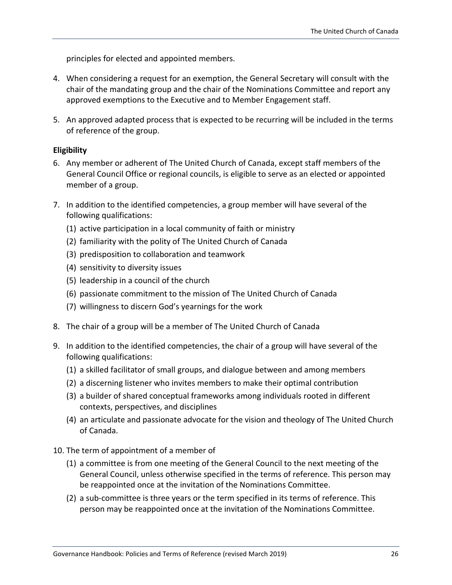principles for elected and appointed members.

- 4. When considering a request for an exemption, the General Secretary will consult with the chair of the mandating group and the chair of the Nominations Committee and report any approved exemptions to the Executive and to Member Engagement staff.
- 5. An approved adapted process that is expected to be recurring will be included in the terms of reference of the group.

#### **Eligibility**

- 6. Any member or adherent of The United Church of Canada, except staff members of the General Council Office or regional councils, is eligible to serve as an elected or appointed member of a group.
- 7. In addition to the identified competencies, a group member will have several of the following qualifications:
	- (1) active participation in a local community of faith or ministry
	- (2) familiarity with the polity of The United Church of Canada
	- (3) predisposition to collaboration and teamwork
	- (4) sensitivity to diversity issues
	- (5) leadership in a council of the church
	- (6) passionate commitment to the mission of The United Church of Canada
	- (7) willingness to discern God's yearnings for the work
- 8. The chair of a group will be a member of The United Church of Canada
- 9. In addition to the identified competencies, the chair of a group will have several of the following qualifications:
	- (1) a skilled facilitator of small groups, and dialogue between and among members
	- (2) a discerning listener who invites members to make their optimal contribution
	- (3) a builder of shared conceptual frameworks among individuals rooted in different contexts, perspectives, and disciplines
	- (4) an articulate and passionate advocate for the vision and theology of The United Church of Canada.
- 10. The term of appointment of a member of
	- (1) a committee is from one meeting of the General Council to the next meeting of the General Council, unless otherwise specified in the terms of reference. This person may be reappointed once at the invitation of the Nominations Committee.
	- (2) a sub-committee is three years or the term specified in its terms of reference. This person may be reappointed once at the invitation of the Nominations Committee.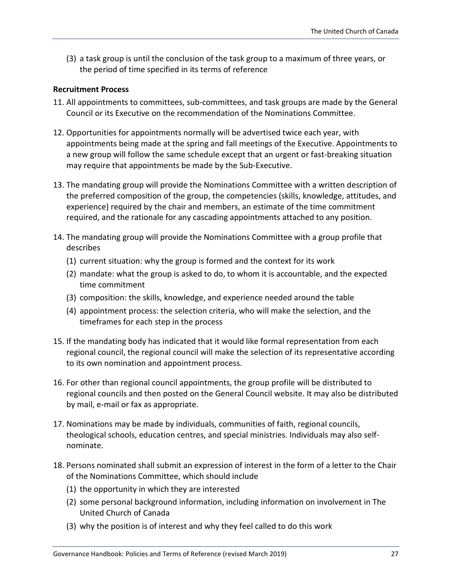(3) a task group is until the conclusion of the task group to a maximum of three years, or the period of time specified in its terms of reference

#### **Recruitment Process**

- 11. All appointments to committees, sub-committees, and task groups are made by the General Council or its Executive on the recommendation of the Nominations Committee.
- 12. Opportunities for appointments normally will be advertised twice each year, with appointments being made at the spring and fall meetings of the Executive. Appointments to a new group will follow the same schedule except that an urgent or fast-breaking situation may require that appointments be made by the Sub-Executive.
- 13. The mandating group will provide the Nominations Committee with a written description of the preferred composition of the group, the competencies (skills, knowledge, attitudes, and experience) required by the chair and members, an estimate of the time commitment required, and the rationale for any cascading appointments attached to any position.
- 14. The mandating group will provide the Nominations Committee with a group profile that describes
	- (1) current situation: why the group is formed and the context for its work
	- (2) mandate: what the group is asked to do, to whom it is accountable, and the expected time commitment
	- (3) composition: the skills, knowledge, and experience needed around the table
	- (4) appointment process: the selection criteria, who will make the selection, and the timeframes for each step in the process
- 15. If the mandating body has indicated that it would like formal representation from each regional council, the regional council will make the selection of its representative according to its own nomination and appointment process.
- 16. For other than regional council appointments, the group profile will be distributed to regional councils and then posted on the General Council website. It may also be distributed by mail, e-mail or fax as appropriate.
- 17. Nominations may be made by individuals, communities of faith, regional councils, theological schools, education centres, and special ministries. Individuals may also selfnominate.
- 18. Persons nominated shall submit an expression of interest in the form of a letter to the Chair of the Nominations Committee, which should include
	- (1) the opportunity in which they are interested
	- (2) some personal background information, including information on involvement in The United Church of Canada
	- (3) why the position is of interest and why they feel called to do this work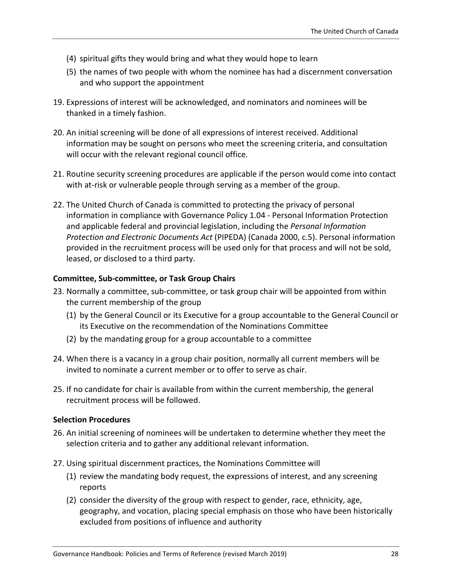- (4) spiritual gifts they would bring and what they would hope to learn
- (5) the names of two people with whom the nominee has had a discernment conversation and who support the appointment
- 19. Expressions of interest will be acknowledged, and nominators and nominees will be thanked in a timely fashion.
- 20. An initial screening will be done of all expressions of interest received. Additional information may be sought on persons who meet the screening criteria, and consultation will occur with the relevant regional council office.
- 21. Routine security screening procedures are applicable if the person would come into contact with at-risk or vulnerable people through serving as a member of the group.
- 22. The United Church of Canada is committed to protecting the privacy of personal information in compliance with Governance Policy 1.04 - Personal Information Protection and applicable federal and provincial legislation, including the *Personal Information Protection and Electronic Documents Act* (PIPEDA) (Canada 2000, c.5). Personal information provided in the recruitment process will be used only for that process and will not be sold, leased, or disclosed to a third party.

#### **Committee, Sub-committee, or Task Group Chairs**

- 23. Normally a committee, sub-committee, or task group chair will be appointed from within the current membership of the group
	- (1) by the General Council or its Executive for a group accountable to the General Council or its Executive on the recommendation of the Nominations Committee
	- (2) by the mandating group for a group accountable to a committee
- 24. When there is a vacancy in a group chair position, normally all current members will be invited to nominate a current member or to offer to serve as chair.
- 25. If no candidate for chair is available from within the current membership, the general recruitment process will be followed.

#### **Selection Procedures**

- 26. An initial screening of nominees will be undertaken to determine whether they meet the selection criteria and to gather any additional relevant information.
- 27. Using spiritual discernment practices, the Nominations Committee will
	- (1) review the mandating body request, the expressions of interest, and any screening reports
	- (2) consider the diversity of the group with respect to gender, race, ethnicity, age, geography, and vocation, placing special emphasis on those who have been historically excluded from positions of influence and authority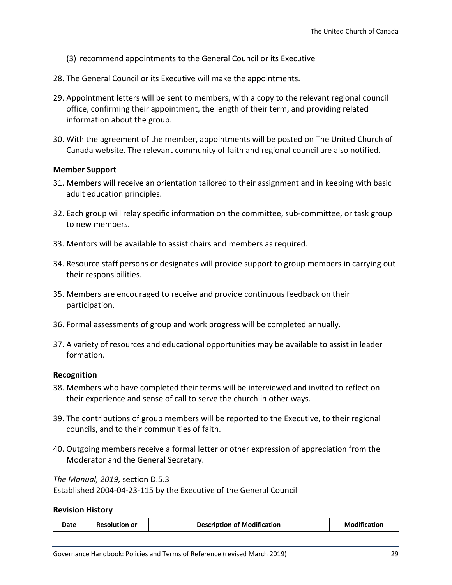- (3) recommend appointments to the General Council or its Executive
- 28. The General Council or its Executive will make the appointments.
- 29. Appointment letters will be sent to members, with a copy to the relevant regional council office, confirming their appointment, the length of their term, and providing related information about the group.
- 30. With the agreement of the member, appointments will be posted on The United Church of Canada website. The relevant community of faith and regional council are also notified.

#### **Member Support**

- 31. Members will receive an orientation tailored to their assignment and in keeping with basic adult education principles.
- 32. Each group will relay specific information on the committee, sub-committee, or task group to new members.
- 33. Mentors will be available to assist chairs and members as required.
- 34. Resource staff persons or designates will provide support to group members in carrying out their responsibilities.
- 35. Members are encouraged to receive and provide continuous feedback on their participation.
- 36. Formal assessments of group and work progress will be completed annually.
- 37. A variety of resources and educational opportunities may be available to assist in leader formation.

#### **Recognition**

- 38. Members who have completed their terms will be interviewed and invited to reflect on their experience and sense of call to serve the church in other ways.
- 39. The contributions of group members will be reported to the Executive, to their regional councils, and to their communities of faith.
- 40. Outgoing members receive a formal letter or other expression of appreciation from the Moderator and the General Secretary.

*The Manual, 2019,* section D.5.3

Established 2004-04-23-115 by the Executive of the General Council

#### **Revision History**

| <b>Modification</b><br><b>Description of Modification</b><br>Date<br><b>Resolution or</b> |  |
|-------------------------------------------------------------------------------------------|--|
|-------------------------------------------------------------------------------------------|--|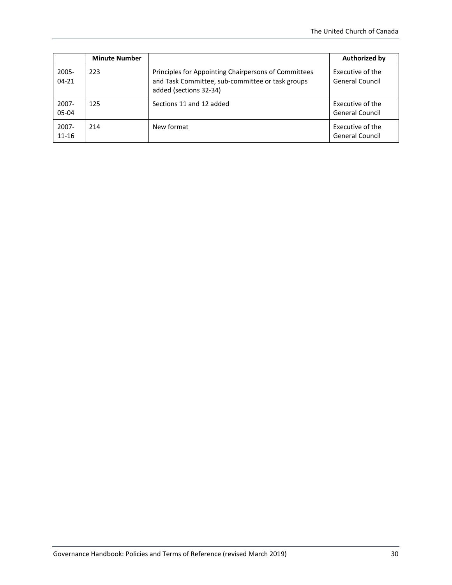|                       | <b>Minute Number</b> |                                                                                                                                    | <b>Authorized by</b>                       |
|-----------------------|----------------------|------------------------------------------------------------------------------------------------------------------------------------|--------------------------------------------|
| $2005 -$<br>$04 - 21$ | 223                  | Principles for Appointing Chairpersons of Committees<br>and Task Committee, sub-committee or task groups<br>added (sections 32-34) | Executive of the<br><b>General Council</b> |
| $2007 -$<br>05-04     | 125                  | Sections 11 and 12 added                                                                                                           | Executive of the<br><b>General Council</b> |
| $2007 -$<br>$11 - 16$ | 214                  | New format                                                                                                                         | Executive of the<br><b>General Council</b> |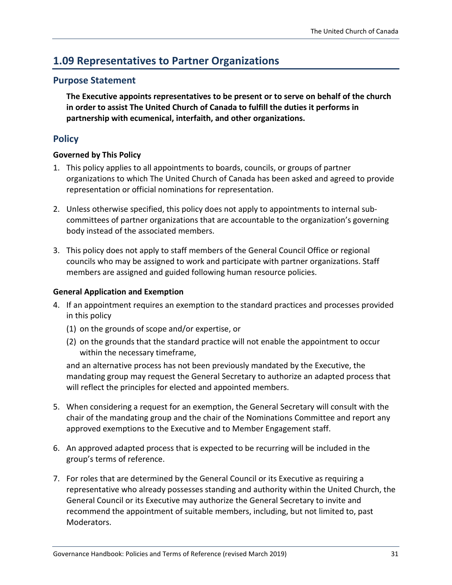## <span id="page-30-0"></span>**1.09 Representatives to Partner Organizations**

#### **Purpose Statement**

**The Executive appoints representatives to be present or to serve on behalf of the church in order to assist The United Church of Canada to fulfill the duties it performs in partnership with ecumenical, interfaith, and other organizations.**

#### **Policy**

#### **Governed by This Policy**

- 1. This policy applies to all appointments to boards, councils, or groups of partner organizations to which The United Church of Canada has been asked and agreed to provide representation or official nominations for representation.
- 2. Unless otherwise specified, this policy does not apply to appointments to internal subcommittees of partner organizations that are accountable to the organization's governing body instead of the associated members.
- 3. This policy does not apply to staff members of the General Council Office or regional councils who may be assigned to work and participate with partner organizations. Staff members are assigned and guided following human resource policies.

#### **General Application and Exemption**

- 4. If an appointment requires an exemption to the standard practices and processes provided in this policy
	- (1) on the grounds of scope and/or expertise, or
	- (2) on the grounds that the standard practice will not enable the appointment to occur within the necessary timeframe,

and an alternative process has not been previously mandated by the Executive, the mandating group may request the General Secretary to authorize an adapted process that will reflect the principles for elected and appointed members.

- 5. When considering a request for an exemption, the General Secretary will consult with the chair of the mandating group and the chair of the Nominations Committee and report any approved exemptions to the Executive and to Member Engagement staff.
- 6. An approved adapted process that is expected to be recurring will be included in the group's terms of reference.
- 7. For roles that are determined by the General Council or its Executive as requiring a representative who already possesses standing and authority within the United Church, the General Council or its Executive may authorize the General Secretary to invite and recommend the appointment of suitable members, including, but not limited to, past Moderators.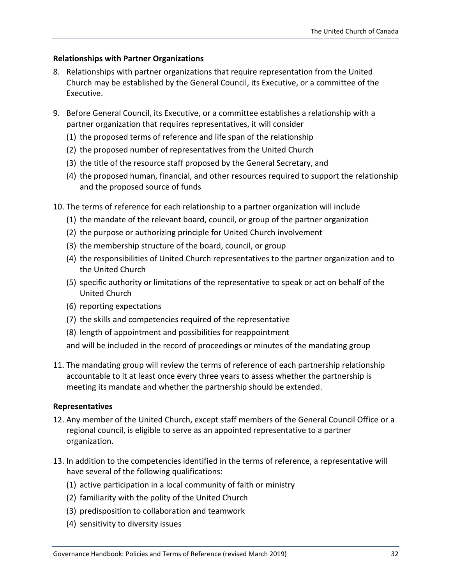#### **Relationships with Partner Organizations**

- 8. Relationships with partner organizations that require representation from the United Church may be established by the General Council, its Executive, or a committee of the Executive.
- 9. Before General Council, its Executive, or a committee establishes a relationship with a partner organization that requires representatives, it will consider
	- (1) the proposed terms of reference and life span of the relationship
	- (2) the proposed number of representatives from the United Church
	- (3) the title of the resource staff proposed by the General Secretary, and
	- (4) the proposed human, financial, and other resources required to support the relationship and the proposed source of funds
- 10. The terms of reference for each relationship to a partner organization will include
	- (1) the mandate of the relevant board, council, or group of the partner organization
	- (2) the purpose or authorizing principle for United Church involvement
	- (3) the membership structure of the board, council, or group
	- (4) the responsibilities of United Church representatives to the partner organization and to the United Church
	- (5) specific authority or limitations of the representative to speak or act on behalf of the United Church
	- (6) reporting expectations
	- (7) the skills and competencies required of the representative
	- (8) length of appointment and possibilities for reappointment
	- and will be included in the record of proceedings or minutes of the mandating group
- 11. The mandating group will review the terms of reference of each partnership relationship accountable to it at least once every three years to assess whether the partnership is meeting its mandate and whether the partnership should be extended.

#### **Representatives**

- 12. Any member of the United Church, except staff members of the General Council Office or a regional council, is eligible to serve as an appointed representative to a partner organization.
- 13. In addition to the competencies identified in the terms of reference, a representative will have several of the following qualifications:
	- (1) active participation in a local community of faith or ministry
	- (2) familiarity with the polity of the United Church
	- (3) predisposition to collaboration and teamwork
	- (4) sensitivity to diversity issues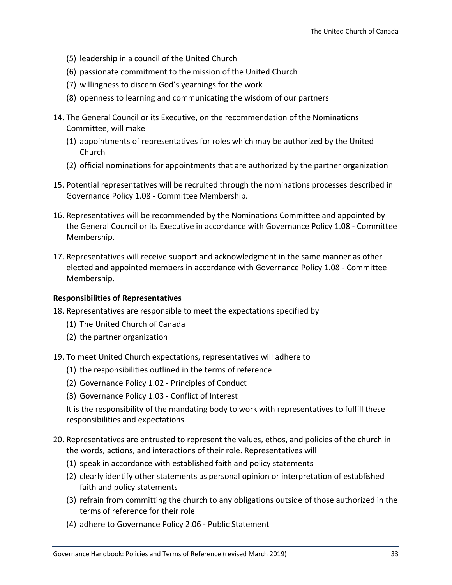- (5) leadership in a council of the United Church
- (6) passionate commitment to the mission of the United Church
- (7) willingness to discern God's yearnings for the work
- (8) openness to learning and communicating the wisdom of our partners
- 14. The General Council or its Executive, on the recommendation of the Nominations Committee, will make
	- (1) appointments of representatives for roles which may be authorized by the United Church
	- (2) official nominations for appointments that are authorized by the partner organization
- 15. Potential representatives will be recruited through the nominations processes described in Governance Policy 1.08 - Committee Membership.
- 16. Representatives will be recommended by the Nominations Committee and appointed by the General Council or its Executive in accordance with Governance Policy 1.08 - Committee Membership.
- 17. Representatives will receive support and acknowledgment in the same manner as other elected and appointed members in accordance with Governance Policy 1.08 - Committee Membership.

#### **Responsibilities of Representatives**

- 18. Representatives are responsible to meet the expectations specified by
	- (1) The United Church of Canada
	- (2) the partner organization
- 19. To meet United Church expectations, representatives will adhere to
	- (1) the responsibilities outlined in the terms of reference
	- (2) Governance Policy 1.02 Principles of Conduct
	- (3) Governance Policy 1.03 Conflict of Interest

It is the responsibility of the mandating body to work with representatives to fulfill these responsibilities and expectations.

- 20. Representatives are entrusted to represent the values, ethos, and policies of the church in the words, actions, and interactions of their role. Representatives will
	- (1) speak in accordance with established faith and policy statements
	- (2) clearly identify other statements as personal opinion or interpretation of established faith and policy statements
	- (3) refrain from committing the church to any obligations outside of those authorized in the terms of reference for their role
	- (4) adhere to Governance Policy 2.06 Public Statement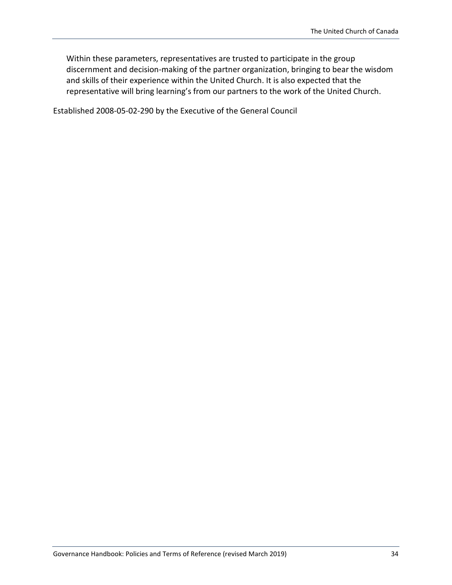Within these parameters, representatives are trusted to participate in the group discernment and decision-making of the partner organization, bringing to bear the wisdom and skills of their experience within the United Church. It is also expected that the representative will bring learning's from our partners to the work of the United Church.

Established 2008-05-02-290 by the Executive of the General Council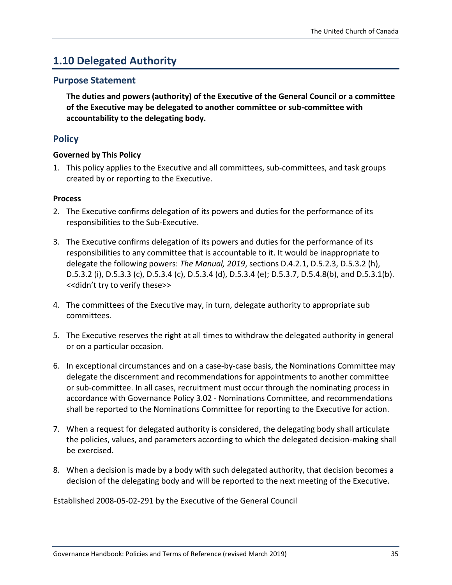### <span id="page-34-0"></span>**1.10 Delegated Authority**

#### **Purpose Statement**

**The duties and powers (authority) of the Executive of the General Council or a committee of the Executive may be delegated to another committee or sub-committee with accountability to the delegating body.**

#### **Policy**

#### **Governed by This Policy**

1. This policy applies to the Executive and all committees, sub-committees, and task groups created by or reporting to the Executive.

#### **Process**

- 2. The Executive confirms delegation of its powers and duties for the performance of its responsibilities to the Sub-Executive.
- 3. The Executive confirms delegation of its powers and duties for the performance of its responsibilities to any committee that is accountable to it. It would be inappropriate to delegate the following powers: *The Manual, 2019*, sections D.4.2.1, D.5.2.3, D.5.3.2 (h), D.5.3.2 (i), D.5.3.3 (c), D.5.3.4 (c), D.5.3.4 (d), D.5.3.4 (e); D.5.3.7, D.5.4.8(b), and D.5.3.1(b). <<didn't try to verify these>>
- 4. The committees of the Executive may, in turn, delegate authority to appropriate sub committees.
- 5. The Executive reserves the right at all times to withdraw the delegated authority in general or on a particular occasion.
- 6. In exceptional circumstances and on a case-by-case basis, the Nominations Committee may delegate the discernment and recommendations for appointments to another committee or sub-committee. In all cases, recruitment must occur through the nominating process in accordance with Governance Policy 3.02 - Nominations Committee, and recommendations shall be reported to the Nominations Committee for reporting to the Executive for action.
- 7. When a request for delegated authority is considered, the delegating body shall articulate the policies, values, and parameters according to which the delegated decision-making shall be exercised.
- 8. When a decision is made by a body with such delegated authority, that decision becomes a decision of the delegating body and will be reported to the next meeting of the Executive.

Established 2008-05-02-291 by the Executive of the General Council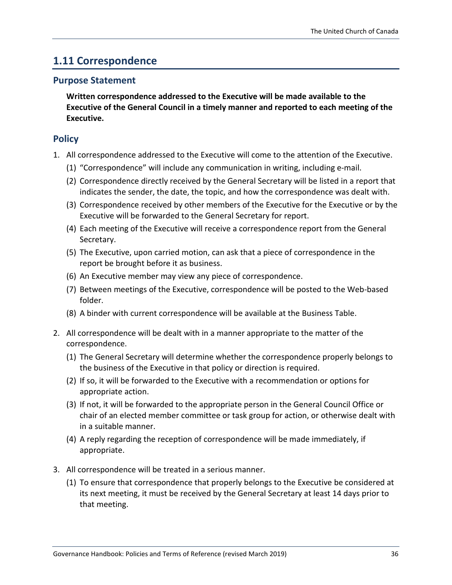### <span id="page-35-0"></span>**1.11 Correspondence**

#### **Purpose Statement**

**Written correspondence addressed to the Executive will be made available to the Executive of the General Council in a timely manner and reported to each meeting of the Executive.**

#### **Policy**

- 1. All correspondence addressed to the Executive will come to the attention of the Executive.
	- (1) "Correspondence" will include any communication in writing, including e-mail.
	- (2) Correspondence directly received by the General Secretary will be listed in a report that indicates the sender, the date, the topic, and how the correspondence was dealt with.
	- (3) Correspondence received by other members of the Executive for the Executive or by the Executive will be forwarded to the General Secretary for report.
	- (4) Each meeting of the Executive will receive a correspondence report from the General Secretary.
	- (5) The Executive, upon carried motion, can ask that a piece of correspondence in the report be brought before it as business.
	- (6) An Executive member may view any piece of correspondence.
	- (7) Between meetings of the Executive, correspondence will be posted to the Web-based folder.
	- (8) A binder with current correspondence will be available at the Business Table.
- 2. All correspondence will be dealt with in a manner appropriate to the matter of the correspondence.
	- (1) The General Secretary will determine whether the correspondence properly belongs to the business of the Executive in that policy or direction is required.
	- (2) If so, it will be forwarded to the Executive with a recommendation or options for appropriate action.
	- (3) If not, it will be forwarded to the appropriate person in the General Council Office or chair of an elected member committee or task group for action, or otherwise dealt with in a suitable manner.
	- (4) A reply regarding the reception of correspondence will be made immediately, if appropriate.
- 3. All correspondence will be treated in a serious manner.
	- (1) To ensure that correspondence that properly belongs to the Executive be considered at its next meeting, it must be received by the General Secretary at least 14 days prior to that meeting.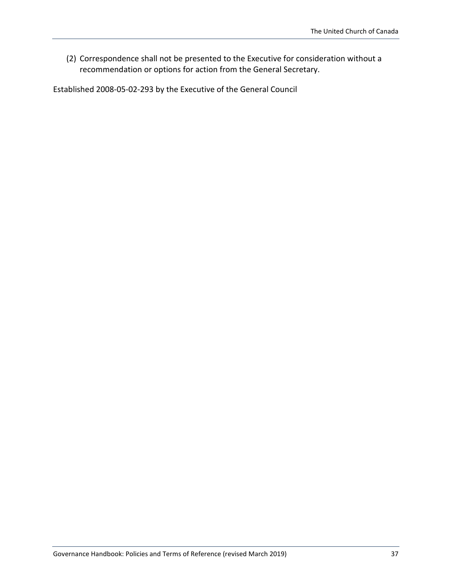(2) Correspondence shall not be presented to the Executive for consideration without a recommendation or options for action from the General Secretary.

Established 2008-05-02-293 by the Executive of the General Council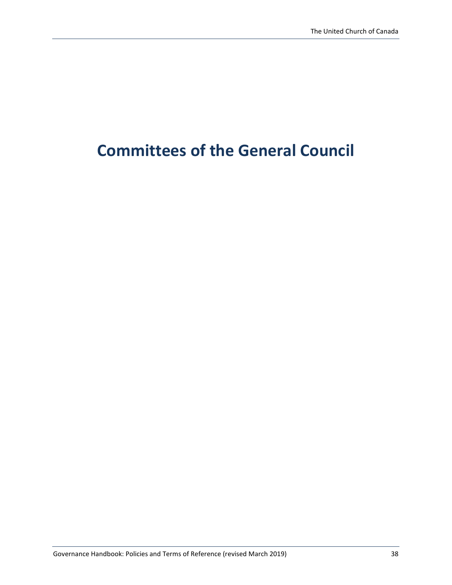# **Committees of the General Council**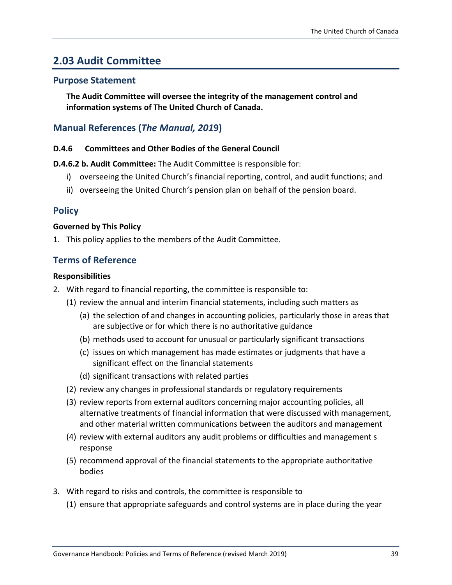# **2.03 Audit Committee**

### **Purpose Statement**

**The Audit Committee will oversee the integrity of the management control and information systems of The United Church of Canada.**

### **Manual References (***The Manual, 201***9)**

### **D.4.6 Committees and Other Bodies of the General Council**

**D.4.6.2 b. Audit Committee:** The Audit Committee is responsible for:

- i) overseeing the United Church's financial reporting, control, and audit functions; and
- ii) overseeing the United Church's pension plan on behalf of the pension board.

### **Policy**

#### **Governed by This Policy**

1. This policy applies to the members of the Audit Committee.

### **Terms of Reference**

#### **Responsibilities**

- 2. With regard to financial reporting, the committee is responsible to:
	- (1) review the annual and interim financial statements, including such matters as
		- (a) the selection of and changes in accounting policies, particularly those in areas that are subjective or for which there is no authoritative guidance
		- (b) methods used to account for unusual or particularly significant transactions
		- (c) issues on which management has made estimates or judgments that have a significant effect on the financial statements
		- (d) significant transactions with related parties
	- (2) review any changes in professional standards or regulatory requirements
	- (3) review reports from external auditors concerning major accounting policies, all alternative treatments of financial information that were discussed with management, and other material written communications between the auditors and management
	- (4) review with external auditors any audit problems or difficulties and management s response
	- (5) recommend approval of the financial statements to the appropriate authoritative bodies
- 3. With regard to risks and controls, the committee is responsible to
	- (1) ensure that appropriate safeguards and control systems are in place during the year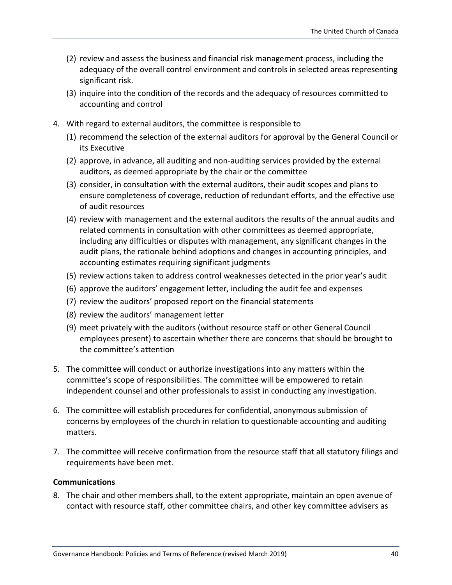- (2) review and assess the business and financial risk management process, including the adequacy of the overall control environment and controls in selected areas representing significant risk.
- (3) inquire into the condition of the records and the adequacy of resources committed to accounting and control
- 4. With regard to external auditors, the committee is responsible to
	- (1) recommend the selection of the external auditors for approval by the General Council or its Executive
	- (2) approve, in advance, all auditing and non-auditing services provided by the external auditors, as deemed appropriate by the chair or the committee
	- (3) consider, in consultation with the external auditors, their audit scopes and plans to ensure completeness of coverage, reduction of redundant efforts, and the effective use of audit resources
	- (4) review with management and the external auditors the results of the annual audits and related comments in consultation with other committees as deemed appropriate, including any difficulties or disputes with management, any significant changes in the audit plans, the rationale behind adoptions and changes in accounting principles, and accounting estimates requiring significant judgments
	- (5) review actions taken to address control weaknesses detected in the prior year's audit
	- (6) approve the auditors' engagement letter, including the audit fee and expenses
	- (7) review the auditors' proposed report on the financial statements
	- (8) review the auditors' management letter
	- (9) meet privately with the auditors (without resource staff or other General Council employees present) to ascertain whether there are concerns that should be brought to the committee's attention
- 5. The committee will conduct or authorize investigations into any matters within the committee's scope of responsibilities. The committee will be empowered to retain independent counsel and other professionals to assist in conducting any investigation.
- 6. The committee will establish procedures for confidential, anonymous submission of concerns by employees of the church in relation to questionable accounting and auditing matters.
- 7. The committee will receive confirmation from the resource staff that all statutory filings and requirements have been met.

#### **Communications**

8. The chair and other members shall, to the extent appropriate, maintain an open avenue of contact with resource staff, other committee chairs, and other key committee advisers as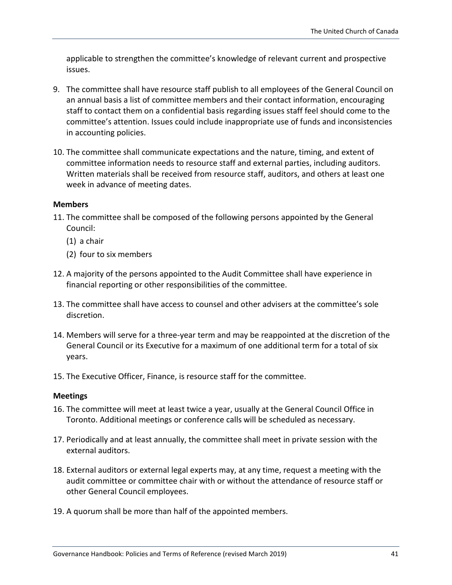applicable to strengthen the committee's knowledge of relevant current and prospective issues.

- 9. The committee shall have resource staff publish to all employees of the General Council on an annual basis a list of committee members and their contact information, encouraging staff to contact them on a confidential basis regarding issues staff feel should come to the committee's attention. Issues could include inappropriate use of funds and inconsistencies in accounting policies.
- 10. The committee shall communicate expectations and the nature, timing, and extent of committee information needs to resource staff and external parties, including auditors. Written materials shall be received from resource staff, auditors, and others at least one week in advance of meeting dates.

#### **Members**

- 11. The committee shall be composed of the following persons appointed by the General Council:
	- (1) a chair
	- (2) four to six members
- 12. A majority of the persons appointed to the Audit Committee shall have experience in financial reporting or other responsibilities of the committee.
- 13. The committee shall have access to counsel and other advisers at the committee's sole discretion.
- 14. Members will serve for a three-year term and may be reappointed at the discretion of the General Council or its Executive for a maximum of one additional term for a total of six years.
- 15. The Executive Officer, Finance, is resource staff for the committee.

#### **Meetings**

- 16. The committee will meet at least twice a year, usually at the General Council Office in Toronto. Additional meetings or conference calls will be scheduled as necessary.
- 17. Periodically and at least annually, the committee shall meet in private session with the external auditors.
- 18. External auditors or external legal experts may, at any time, request a meeting with the audit committee or committee chair with or without the attendance of resource staff or other General Council employees.
- 19. A quorum shall be more than half of the appointed members.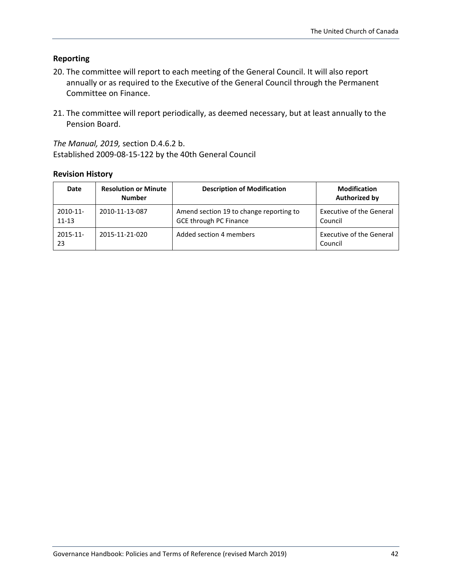### **Reporting**

- 20. The committee will report to each meeting of the General Council. It will also report annually or as required to the Executive of the General Council through the Permanent Committee on Finance.
- 21. The committee will report periodically, as deemed necessary, but at least annually to the Pension Board.

*The Manual, 2019,* section D.4.6.2 b. Established 2009-08-15-122 by the 40th General Council

| Date                     | <b>Resolution or Minute</b><br><b>Number</b> | <b>Description of Modification</b>                                       | <b>Modification</b><br><b>Authorized by</b> |
|--------------------------|----------------------------------------------|--------------------------------------------------------------------------|---------------------------------------------|
| $2010 - 11$<br>$11 - 13$ | 2010-11-13-087                               | Amend section 19 to change reporting to<br><b>GCE through PC Finance</b> | <b>Executive of the General</b><br>Council  |
| $2015 - 11$<br>23        | 2015-11-21-020                               | Added section 4 members                                                  | <b>Executive of the General</b><br>Council  |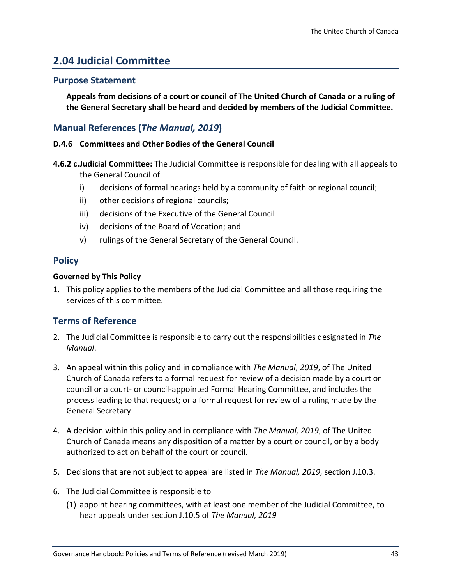# **2.04 Judicial Committee**

### **Purpose Statement**

**Appeals from decisions of a court or council of The United Church of Canada or a ruling of the General Secretary shall be heard and decided by members of the Judicial Committee.**

### **Manual References (***The Manual, 2019***)**

### **D.4.6 Committees and Other Bodies of the General Council**

- **4.6.2 c.Judicial Committee:** The Judicial Committee is responsible for dealing with all appeals to the General Council of
	- i) decisions of formal hearings held by a community of faith or regional council;
	- ii) other decisions of regional councils;
	- iii) decisions of the Executive of the General Council
	- iv) decisions of the Board of Vocation; and
	- v) rulings of the General Secretary of the General Council.

### **Policy**

### **Governed by This Policy**

1. This policy applies to the members of the Judicial Committee and all those requiring the services of this committee.

### **Terms of Reference**

- 2. The Judicial Committee is responsible to carry out the responsibilities designated in *The Manual*.
- 3. An appeal within this policy and in compliance with *The Manual*, *2019*, of The United Church of Canada refers to a formal request for review of a decision made by a court or council or a court- or council-appointed Formal Hearing Committee, and includes the process leading to that request; or a formal request for review of a ruling made by the General Secretary
- 4. A decision within this policy and in compliance with *The Manual, 2019*, of The United Church of Canada means any disposition of a matter by a court or council, or by a body authorized to act on behalf of the court or council.
- 5. Decisions that are not subject to appeal are listed in *The Manual, 2019,* section J.10.3.
- 6. The Judicial Committee is responsible to
	- (1) appoint hearing committees, with at least one member of the Judicial Committee, to hear appeals under section J.10.5 of *The Manual, 2019*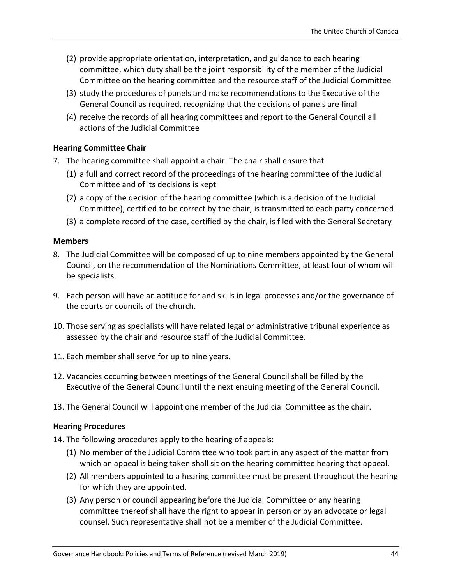- (2) provide appropriate orientation, interpretation, and guidance to each hearing committee, which duty shall be the joint responsibility of the member of the Judicial Committee on the hearing committee and the resource staff of the Judicial Committee
- (3) study the procedures of panels and make recommendations to the Executive of the General Council as required, recognizing that the decisions of panels are final
- (4) receive the records of all hearing committees and report to the General Council all actions of the Judicial Committee

#### **Hearing Committee Chair**

- 7. The hearing committee shall appoint a chair. The chair shall ensure that
	- (1) a full and correct record of the proceedings of the hearing committee of the Judicial Committee and of its decisions is kept
	- (2) a copy of the decision of the hearing committee (which is a decision of the Judicial Committee), certified to be correct by the chair, is transmitted to each party concerned
	- (3) a complete record of the case, certified by the chair, is filed with the General Secretary

#### **Members**

- 8. The Judicial Committee will be composed of up to nine members appointed by the General Council, on the recommendation of the Nominations Committee, at least four of whom will be specialists.
- 9. Each person will have an aptitude for and skills in legal processes and/or the governance of the courts or councils of the church.
- 10. Those serving as specialists will have related legal or administrative tribunal experience as assessed by the chair and resource staff of the Judicial Committee.
- 11. Each member shall serve for up to nine years.
- 12. Vacancies occurring between meetings of the General Council shall be filled by the Executive of the General Council until the next ensuing meeting of the General Council.
- 13. The General Council will appoint one member of the Judicial Committee as the chair.

#### **Hearing Procedures**

14. The following procedures apply to the hearing of appeals:

- (1) No member of the Judicial Committee who took part in any aspect of the matter from which an appeal is being taken shall sit on the hearing committee hearing that appeal.
- (2) All members appointed to a hearing committee must be present throughout the hearing for which they are appointed.
- (3) Any person or council appearing before the Judicial Committee or any hearing committee thereof shall have the right to appear in person or by an advocate or legal counsel. Such representative shall not be a member of the Judicial Committee.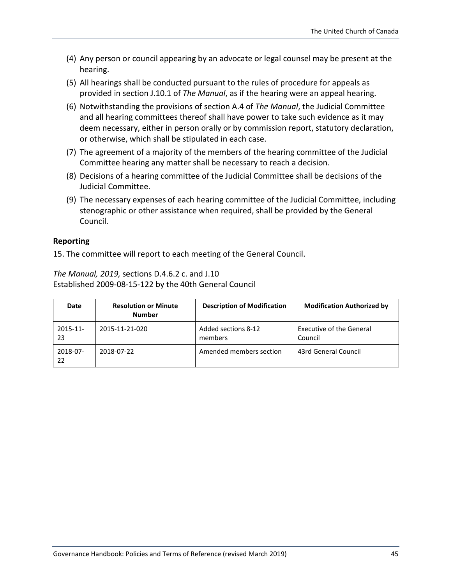- (4) Any person or council appearing by an advocate or legal counsel may be present at the hearing.
- (5) All hearings shall be conducted pursuant to the rules of procedure for appeals as provided in section J.10.1 of *The Manual*, as if the hearing were an appeal hearing.
- (6) Notwithstanding the provisions of section A.4 of *The Manual*, the Judicial Committee and all hearing committees thereof shall have power to take such evidence as it may deem necessary, either in person orally or by commission report, statutory declaration, or otherwise, which shall be stipulated in each case.
- (7) The agreement of a majority of the members of the hearing committee of the Judicial Committee hearing any matter shall be necessary to reach a decision.
- (8) Decisions of a hearing committee of the Judicial Committee shall be decisions of the Judicial Committee.
- (9) The necessary expenses of each hearing committee of the Judicial Committee, including stenographic or other assistance when required, shall be provided by the General Council.

### **Reporting**

15. The committee will report to each meeting of the General Council.

*The Manual, 2019,* sections D.4.6.2 c. and J.10 Established 2009-08-15-122 by the 40th General Council

| Date           | <b>Resolution or Minute</b><br><b>Number</b> | <b>Description of Modification</b> | <b>Modification Authorized by</b>          |
|----------------|----------------------------------------------|------------------------------------|--------------------------------------------|
| 2015-11-<br>23 | 2015-11-21-020                               | Added sections 8-12<br>members     | <b>Executive of the General</b><br>Council |
| 2018-07-<br>22 | 2018-07-22                                   | Amended members section            | 43rd General Council                       |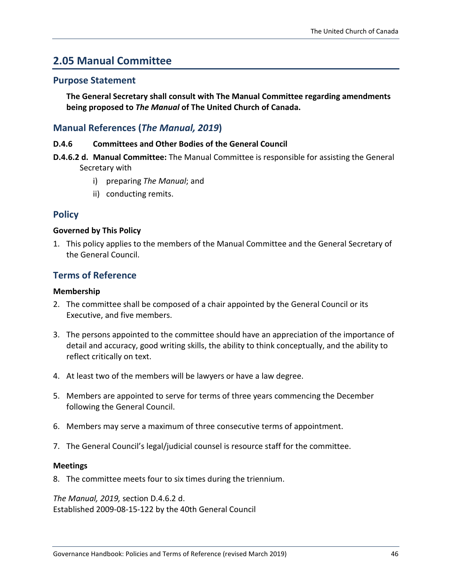## **2.05 Manual Committee**

### **Purpose Statement**

**The General Secretary shall consult with The Manual Committee regarding amendments being proposed to** *The Manual* **of The United Church of Canada.**

### **Manual References (***The Manual, 2019***)**

#### **D.4.6 Committees and Other Bodies of the General Council**

- **D.4.6.2 d. Manual Committee:** The Manual Committee is responsible for assisting the General Secretary with
	- i) preparing *The Manual*; and
	- ii) conducting remits.

### **Policy**

#### **Governed by This Policy**

1. This policy applies to the members of the Manual Committee and the General Secretary of the General Council.

### **Terms of Reference**

#### **Membership**

- 2. The committee shall be composed of a chair appointed by the General Council or its Executive, and five members.
- 3. The persons appointed to the committee should have an appreciation of the importance of detail and accuracy, good writing skills, the ability to think conceptually, and the ability to reflect critically on text.
- 4. At least two of the members will be lawyers or have a law degree.
- 5. Members are appointed to serve for terms of three years commencing the December following the General Council.
- 6. Members may serve a maximum of three consecutive terms of appointment.
- 7. The General Council's legal/judicial counsel is resource staff for the committee.

#### **Meetings**

8. The committee meets four to six times during the triennium.

*The Manual, 2019,* section D.4.6.2 d. Established 2009-08-15-122 by the 40th General Council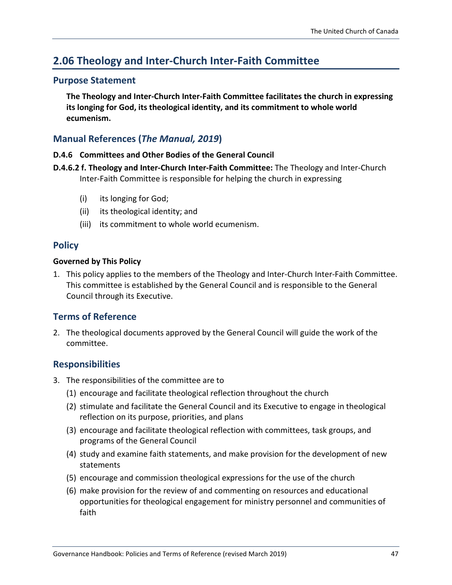# **2.06 Theology and Inter-Church Inter-Faith Committee**

### **Purpose Statement**

**The Theology and Inter-Church Inter-Faith Committee facilitates the church in expressing its longing for God, its theological identity, and its commitment to whole world ecumenism.**

### **Manual References (***The Manual, 2019***)**

### **D.4.6 Committees and Other Bodies of the General Council**

- **D.4.6.2 f. Theology and Inter-Church Inter-Faith Committee:** The Theology and Inter-Church Inter-Faith Committee is responsible for helping the church in expressing
	- (i) its longing for God;
	- (ii) its theological identity; and
	- (iii) its commitment to whole world ecumenism.

### **Policy**

### **Governed by This Policy**

1. This policy applies to the members of the Theology and Inter-Church Inter-Faith Committee. This committee is established by the General Council and is responsible to the General Council through its Executive.

### **Terms of Reference**

2. The theological documents approved by the General Council will guide the work of the committee.

### **Responsibilities**

- 3. The responsibilities of the committee are to
	- (1) encourage and facilitate theological reflection throughout the church
	- (2) stimulate and facilitate the General Council and its Executive to engage in theological reflection on its purpose, priorities, and plans
	- (3) encourage and facilitate theological reflection with committees, task groups, and programs of the General Council
	- (4) study and examine faith statements, and make provision for the development of new statements
	- (5) encourage and commission theological expressions for the use of the church
	- (6) make provision for the review of and commenting on resources and educational opportunities for theological engagement for ministry personnel and communities of faith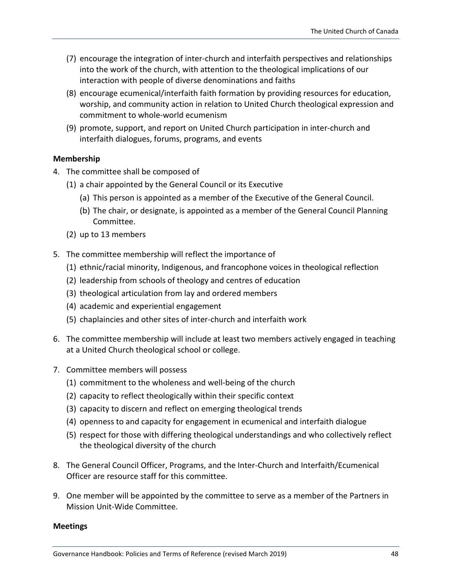- (7) encourage the integration of inter-church and interfaith perspectives and relationships into the work of the church, with attention to the theological implications of our interaction with people of diverse denominations and faiths
- (8) encourage ecumenical/interfaith faith formation by providing resources for education, worship, and community action in relation to United Church theological expression and commitment to whole-world ecumenism
- (9) promote, support, and report on United Church participation in inter-church and interfaith dialogues, forums, programs, and events

#### **Membership**

- 4. The committee shall be composed of
	- (1) a chair appointed by the General Council or its Executive
		- (a) This person is appointed as a member of the Executive of the General Council.
		- (b) The chair, or designate, is appointed as a member of the General Council Planning Committee.
	- (2) up to 13 members
- 5. The committee membership will reflect the importance of
	- (1) ethnic/racial minority, Indigenous, and francophone voices in theological reflection
	- (2) leadership from schools of theology and centres of education
	- (3) theological articulation from lay and ordered members
	- (4) academic and experiential engagement
	- (5) chaplaincies and other sites of inter-church and interfaith work
- 6. The committee membership will include at least two members actively engaged in teaching at a United Church theological school or college.
- 7. Committee members will possess
	- (1) commitment to the wholeness and well-being of the church
	- (2) capacity to reflect theologically within their specific context
	- (3) capacity to discern and reflect on emerging theological trends
	- (4) openness to and capacity for engagement in ecumenical and interfaith dialogue
	- (5) respect for those with differing theological understandings and who collectively reflect the theological diversity of the church
- 8. The General Council Officer, Programs, and the Inter-Church and Interfaith/Ecumenical Officer are resource staff for this committee.
- 9. One member will be appointed by the committee to serve as a member of the Partners in Mission Unit-Wide Committee.

#### **Meetings**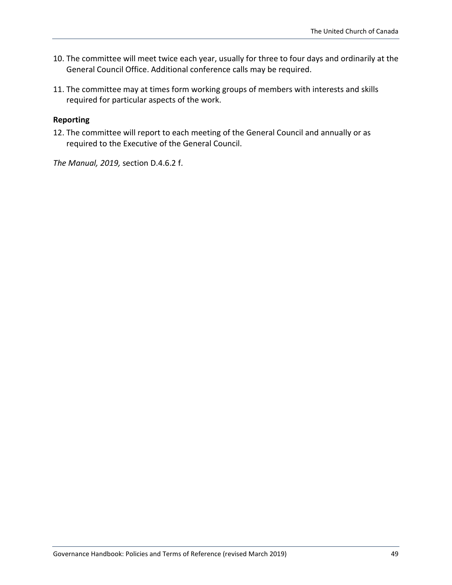- 10. The committee will meet twice each year, usually for three to four days and ordinarily at the General Council Office. Additional conference calls may be required.
- 11. The committee may at times form working groups of members with interests and skills required for particular aspects of the work.

### **Reporting**

12. The committee will report to each meeting of the General Council and annually or as required to the Executive of the General Council.

*The Manual, 2019,* section D.4.6.2 f.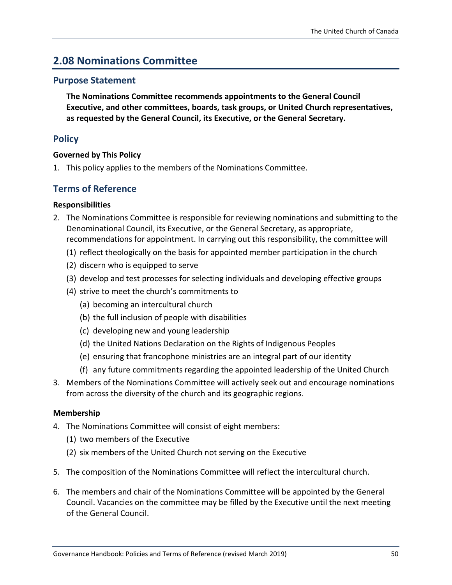# **2.08 Nominations Committee**

### **Purpose Statement**

**The Nominations Committee recommends appointments to the General Council Executive, and other committees, boards, task groups, or United Church representatives, as requested by the General Council, its Executive, or the General Secretary.**

### **Policy**

### **Governed by This Policy**

1. This policy applies to the members of the Nominations Committee.

### **Terms of Reference**

### **Responsibilities**

- 2. The Nominations Committee is responsible for reviewing nominations and submitting to the Denominational Council, its Executive, or the General Secretary, as appropriate, recommendations for appointment. In carrying out this responsibility, the committee will
	- (1) reflect theologically on the basis for appointed member participation in the church
	- (2) discern who is equipped to serve
	- (3) develop and test processes for selecting individuals and developing effective groups
	- (4) strive to meet the church's commitments to
		- (a) becoming an intercultural church
		- (b) the full inclusion of people with disabilities
		- (c) developing new and young leadership
		- (d) the United Nations Declaration on the Rights of Indigenous Peoples
		- (e) ensuring that francophone ministries are an integral part of our identity
		- (f) any future commitments regarding the appointed leadership of the United Church
- 3. Members of the Nominations Committee will actively seek out and encourage nominations from across the diversity of the church and its geographic regions.

### **Membership**

- 4. The Nominations Committee will consist of eight members:
	- (1) two members of the Executive
	- (2) six members of the United Church not serving on the Executive
- 5. The composition of the Nominations Committee will reflect the intercultural church.
- 6. The members and chair of the Nominations Committee will be appointed by the General Council. Vacancies on the committee may be filled by the Executive until the next meeting of the General Council.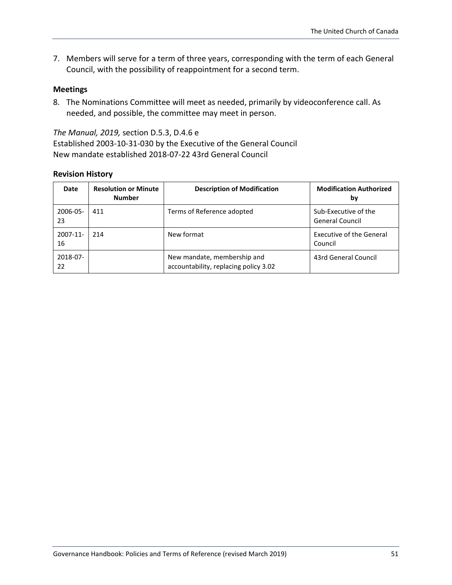7. Members will serve for a term of three years, corresponding with the term of each General Council, with the possibility of reappointment for a second term.

#### **Meetings**

8. The Nominations Committee will meet as needed, primarily by videoconference call. As needed, and possible, the committee may meet in person.

*The Manual, 2019,* section D.5.3, D.4.6 e Established 2003-10-31-030 by the Executive of the General Council New mandate established 2018-07-22 43rd General Council

| Date                | <b>Resolution or Minute</b><br><b>Number</b> | <b>Description of Modification</b>                                   | <b>Modification Authorized</b><br>bγ       |
|---------------------|----------------------------------------------|----------------------------------------------------------------------|--------------------------------------------|
| $2006 - 05 -$<br>23 | 411                                          | Terms of Reference adopted                                           | Sub-Executive of the<br>General Council    |
| $2007 - 11$<br>16   | 214                                          | New format                                                           | <b>Executive of the General</b><br>Council |
| 2018-07-<br>22      |                                              | New mandate, membership and<br>accountability, replacing policy 3.02 | 43rd General Council                       |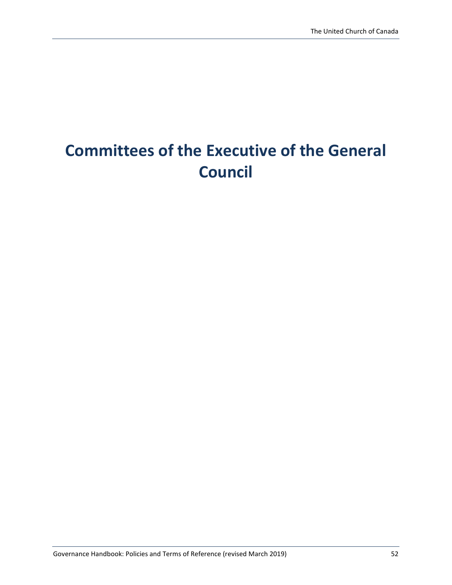# **Committees of the Executive of the General Council**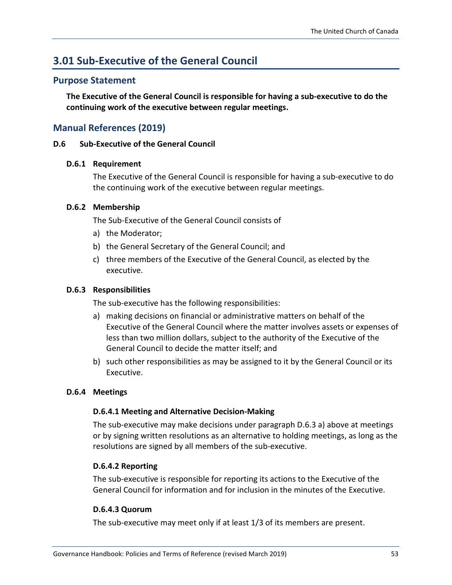# **3.01 Sub-Executive of the General Council**

### **Purpose Statement**

**The Executive of the General Council is responsible for having a sub-executive to do the continuing work of the executive between regular meetings.**

### **Manual References (2019)**

#### **D.6 Sub-Executive of the General Council**

#### **D.6.1 Requirement**

The Executive of the General Council is responsible for having a sub-executive to do the continuing work of the executive between regular meetings.

#### **D.6.2 Membership**

The Sub-Executive of the General Council consists of

- a) the Moderator;
- b) the General Secretary of the General Council; and
- c) three members of the Executive of the General Council, as elected by the executive.

#### **D.6.3 Responsibilities**

The sub-executive has the following responsibilities:

- a) making decisions on financial or administrative matters on behalf of the Executive of the General Council where the matter involves assets or expenses of less than two million dollars, subject to the authority of the Executive of the General Council to decide the matter itself; and
- b) such other responsibilities as may be assigned to it by the General Council or its Executive.

#### **D.6.4 Meetings**

#### **D.6.4.1 Meeting and Alternative Decision-Making**

The sub-executive may make decisions under paragraph D.6.3 a) above at meetings or by signing written resolutions as an alternative to holding meetings, as long as the resolutions are signed by all members of the sub-executive.

#### **D.6.4.2 Reporting**

The sub-executive is responsible for reporting its actions to the Executive of the General Council for information and for inclusion in the minutes of the Executive.

#### **D.6.4.3 Quorum**

The sub-executive may meet only if at least 1/3 of its members are present.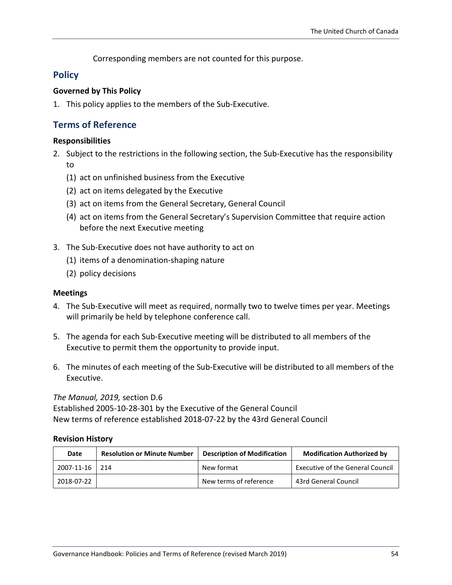Corresponding members are not counted for this purpose.

### **Policy**

### **Governed by This Policy**

1. This policy applies to the members of the Sub-Executive.

### **Terms of Reference**

### **Responsibilities**

- 2. Subject to the restrictions in the following section, the Sub-Executive has the responsibility to
	- (1) act on unfinished business from the Executive
	- (2) act on items delegated by the Executive
	- (3) act on items from the General Secretary, General Council
	- (4) act on items from the General Secretary's Supervision Committee that require action before the next Executive meeting
- 3. The Sub-Executive does not have authority to act on
	- (1) items of a denomination-shaping nature
	- (2) policy decisions

### **Meetings**

- 4. The Sub-Executive will meet as required, normally two to twelve times per year. Meetings will primarily be held by telephone conference call.
- 5. The agenda for each Sub-Executive meeting will be distributed to all members of the Executive to permit them the opportunity to provide input.
- 6. The minutes of each meeting of the Sub-Executive will be distributed to all members of the Executive.

### *The Manual, 2019,* section D.6

Established 2005-10-28-301 by the Executive of the General Council New terms of reference established 2018-07-22 by the 43rd General Council

| Date           | <b>Resolution or Minute Number</b> | <b>Description of Modification</b> | <b>Modification Authorized by</b>       |
|----------------|------------------------------------|------------------------------------|-----------------------------------------|
| 2007-11-16 214 |                                    | New format                         | <b>Executive of the General Council</b> |
| 2018-07-22     |                                    | New terms of reference             | 43rd General Council                    |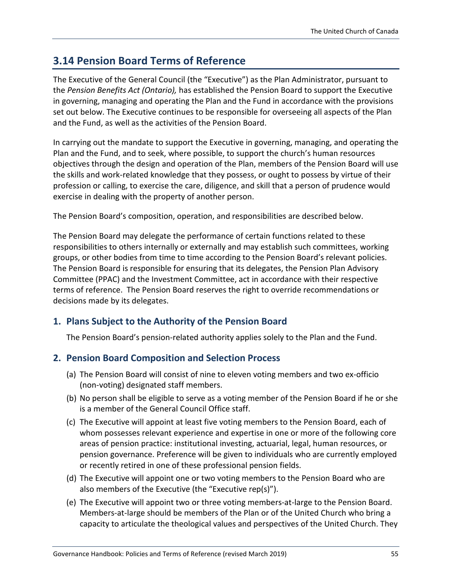# **3.14 Pension Board Terms of Reference**

The Executive of the General Council (the "Executive") as the Plan Administrator, pursuant to the *Pension Benefits Act (Ontario),* has established the Pension Board to support the Executive in governing, managing and operating the Plan and the Fund in accordance with the provisions set out below. The Executive continues to be responsible for overseeing all aspects of the Plan and the Fund, as well as the activities of the Pension Board.

In carrying out the mandate to support the Executive in governing, managing, and operating the Plan and the Fund, and to seek, where possible, to support the church's human resources objectives through the design and operation of the Plan, members of the Pension Board will use the skills and work-related knowledge that they possess, or ought to possess by virtue of their profession or calling, to exercise the care, diligence, and skill that a person of prudence would exercise in dealing with the property of another person.

The Pension Board's composition, operation, and responsibilities are described below.

The Pension Board may delegate the performance of certain functions related to these responsibilities to others internally or externally and may establish such committees, working groups, or other bodies from time to time according to the Pension Board's relevant policies. The Pension Board is responsible for ensuring that its delegates, the Pension Plan Advisory Committee (PPAC) and the Investment Committee, act in accordance with their respective terms of reference. The Pension Board reserves the right to override recommendations or decisions made by its delegates.

### **1. Plans Subject to the Authority of the Pension Board**

The Pension Board's pension-related authority applies solely to the Plan and the Fund.

### **2. Pension Board Composition and Selection Process**

- (a) The Pension Board will consist of nine to eleven voting members and two ex-officio (non-voting) designated staff members.
- (b) No person shall be eligible to serve as a voting member of the Pension Board if he or she is a member of the General Council Office staff.
- (c) The Executive will appoint at least five voting members to the Pension Board, each of whom possesses relevant experience and expertise in one or more of the following core areas of pension practice: institutional investing, actuarial, legal, human resources, or pension governance. Preference will be given to individuals who are currently employed or recently retired in one of these professional pension fields.
- (d) The Executive will appoint one or two voting members to the Pension Board who are also members of the Executive (the "Executive rep(s)").
- (e) The Executive will appoint two or three voting members-at-large to the Pension Board. Members-at-large should be members of the Plan or of the United Church who bring a capacity to articulate the theological values and perspectives of the United Church. They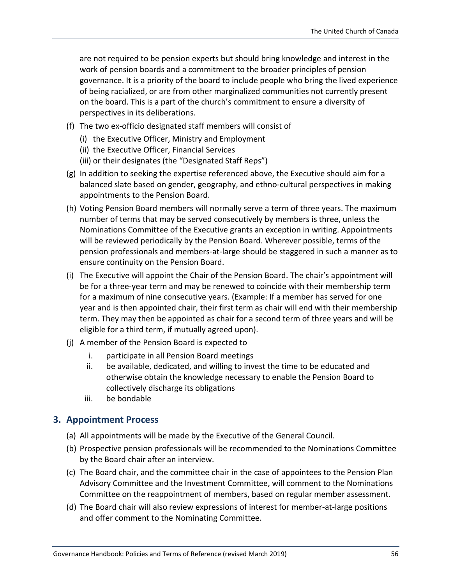are not required to be pension experts but should bring knowledge and interest in the work of pension boards and a commitment to the broader principles of pension governance. It is a priority of the board to include people who bring the lived experience of being racialized, or are from other marginalized communities not currently present on the board. This is a part of the church's commitment to ensure a diversity of perspectives in its deliberations.

- (f) The two ex-officio designated staff members will consist of
	- (i) the Executive Officer, Ministry and Employment
	- (ii) the Executive Officer, Financial Services
	- (iii) or their designates (the "Designated Staff Reps")
- (g) In addition to seeking the expertise referenced above, the Executive should aim for a balanced slate based on gender, geography, and ethno-cultural perspectives in making appointments to the Pension Board.
- (h) Voting Pension Board members will normally serve a term of three years. The maximum number of terms that may be served consecutively by members is three, unless the Nominations Committee of the Executive grants an exception in writing. Appointments will be reviewed periodically by the Pension Board. Wherever possible, terms of the pension professionals and members-at-large should be staggered in such a manner as to ensure continuity on the Pension Board.
- (i) The Executive will appoint the Chair of the Pension Board. The chair's appointment will be for a three-year term and may be renewed to coincide with their membership term for a maximum of nine consecutive years. (Example: If a member has served for one year and is then appointed chair, their first term as chair will end with their membership term. They may then be appointed as chair for a second term of three years and will be eligible for a third term, if mutually agreed upon).
- (j) A member of the Pension Board is expected to
	- i. participate in all Pension Board meetings
	- ii. be available, dedicated, and willing to invest the time to be educated and otherwise obtain the knowledge necessary to enable the Pension Board to collectively discharge its obligations
	- iii. be bondable

### **3. Appointment Process**

- (a) All appointments will be made by the Executive of the General Council.
- (b) Prospective pension professionals will be recommended to the Nominations Committee by the Board chair after an interview.
- (c) The Board chair, and the committee chair in the case of appointees to the Pension Plan Advisory Committee and the Investment Committee, will comment to the Nominations Committee on the reappointment of members, based on regular member assessment.
- (d) The Board chair will also review expressions of interest for member-at-large positions and offer comment to the Nominating Committee.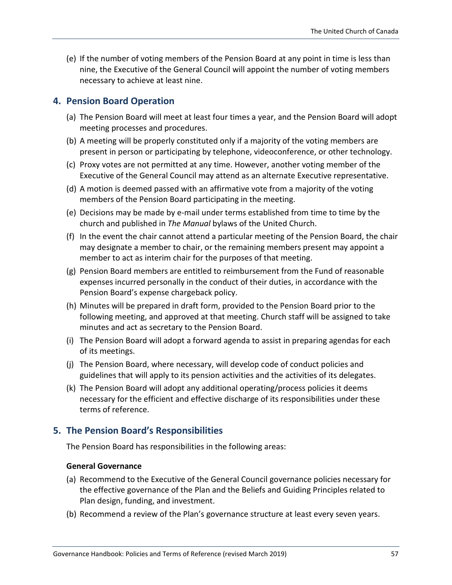(e) If the number of voting members of the Pension Board at any point in time is less than nine, the Executive of the General Council will appoint the number of voting members necessary to achieve at least nine.

### **4. Pension Board Operation**

- (a) The Pension Board will meet at least four times a year, and the Pension Board will adopt meeting processes and procedures.
- (b) A meeting will be properly constituted only if a majority of the voting members are present in person or participating by telephone, videoconference, or other technology.
- (c) Proxy votes are not permitted at any time. However, another voting member of the Executive of the General Council may attend as an alternate Executive representative.
- (d) A motion is deemed passed with an affirmative vote from a majority of the voting members of the Pension Board participating in the meeting.
- (e) Decisions may be made by e-mail under terms established from time to time by the church and published in *The Manual* bylaws of the United Church.
- (f) In the event the chair cannot attend a particular meeting of the Pension Board, the chair may designate a member to chair, or the remaining members present may appoint a member to act as interim chair for the purposes of that meeting.
- (g) Pension Board members are entitled to reimbursement from the Fund of reasonable expenses incurred personally in the conduct of their duties, in accordance with the Pension Board's expense chargeback policy.
- (h) Minutes will be prepared in draft form, provided to the Pension Board prior to the following meeting, and approved at that meeting. Church staff will be assigned to take minutes and act as secretary to the Pension Board.
- (i) The Pension Board will adopt a forward agenda to assist in preparing agendas for each of its meetings.
- (j) The Pension Board, where necessary, will develop code of conduct policies and guidelines that will apply to its pension activities and the activities of its delegates.
- (k) The Pension Board will adopt any additional operating/process policies it deems necessary for the efficient and effective discharge of its responsibilities under these terms of reference.

### **5. The Pension Board's Responsibilities**

The Pension Board has responsibilities in the following areas:

### **General Governance**

- (a) Recommend to the Executive of the General Council governance policies necessary for the effective governance of the Plan and the Beliefs and Guiding Principles related to Plan design, funding, and investment.
- (b) Recommend a review of the Plan's governance structure at least every seven years.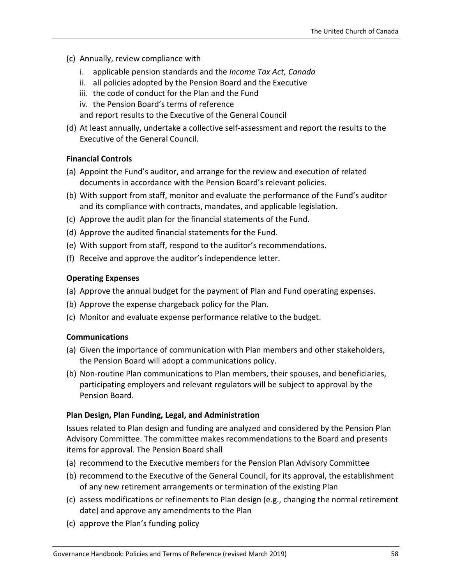- (c) Annually, review compliance with
	- i. applicable pension standards and the *Income Tax Act, Canada*
	- ii. all policies adopted by the Pension Board and the Executive
	- iii. the code of conduct for the Plan and the Fund
	- iv. the Pension Board's terms of reference

and report results to the Executive of the General Council

(d) At least annually, undertake a collective self-assessment and report the results to the Executive of the General Council.

### **Financial Controls**

- (a) Appoint the Fund's auditor, and arrange for the review and execution of related documents in accordance with the Pension Board's relevant policies.
- (b) With support from staff, monitor and evaluate the performance of the Fund's auditor and its compliance with contracts, mandates, and applicable legislation.
- (c) Approve the audit plan for the financial statements of the Fund.
- (d) Approve the audited financial statements for the Fund.
- (e) With support from staff, respond to the auditor's recommendations.
- (f) Receive and approve the auditor's independence letter.

### **Operating Expenses**

- (a) Approve the annual budget for the payment of Plan and Fund operating expenses.
- (b) Approve the expense chargeback policy for the Plan.
- (c) Monitor and evaluate expense performance relative to the budget.

### **Communications**

- (a) Given the importance of communication with Plan members and other stakeholders, the Pension Board will adopt a communications policy.
- (b) Non-routine Plan communications to Plan members, their spouses, and beneficiaries, participating employers and relevant regulators will be subject to approval by the Pension Board.

### **Plan Design, Plan Funding, Legal, and Administration**

Issues related to Plan design and funding are analyzed and considered by the Pension Plan Advisory Committee. The committee makes recommendations to the Board and presents items for approval. The Pension Board shall

- (a) recommend to the Executive members for the Pension Plan Advisory Committee
- (b) recommend to the Executive of the General Council, for its approval, the establishment of any new retirement arrangements or termination of the existing Plan
- (c) assess modifications or refinements to Plan design (e.g., changing the normal retirement date) and approve any amendments to the Plan
- (c) approve the Plan's funding policy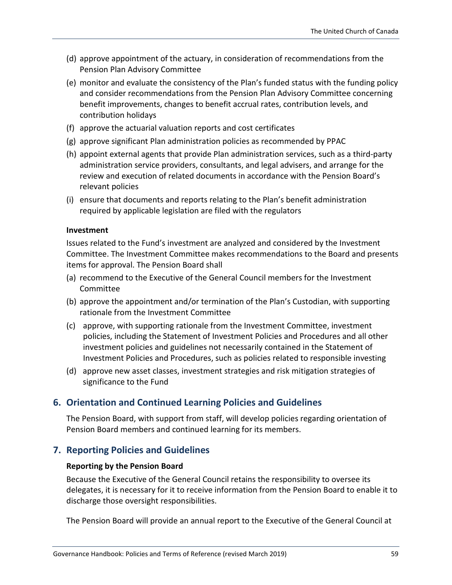- (d) approve appointment of the actuary, in consideration of recommendations from the Pension Plan Advisory Committee
- (e) monitor and evaluate the consistency of the Plan's funded status with the funding policy and consider recommendations from the Pension Plan Advisory Committee concerning benefit improvements, changes to benefit accrual rates, contribution levels, and contribution holidays
- (f) approve the actuarial valuation reports and cost certificates
- (g) approve significant Plan administration policies as recommended by PPAC
- (h) appoint external agents that provide Plan administration services, such as a third-party administration service providers, consultants, and legal advisers, and arrange for the review and execution of related documents in accordance with the Pension Board's relevant policies
- (i) ensure that documents and reports relating to the Plan's benefit administration required by applicable legislation are filed with the regulators

#### **Investment**

Issues related to the Fund's investment are analyzed and considered by the Investment Committee. The Investment Committee makes recommendations to the Board and presents items for approval. The Pension Board shall

- (a) recommend to the Executive of the General Council members for the Investment Committee
- (b) approve the appointment and/or termination of the Plan's Custodian, with supporting rationale from the Investment Committee
- (c) approve, with supporting rationale from the Investment Committee, investment policies, including the Statement of Investment Policies and Procedures and all other investment policies and guidelines not necessarily contained in the Statement of Investment Policies and Procedures, such as policies related to responsible investing
- (d) approve new asset classes, investment strategies and risk mitigation strategies of significance to the Fund

### **6. Orientation and Continued Learning Policies and Guidelines**

The Pension Board, with support from staff, will develop policies regarding orientation of Pension Board members and continued learning for its members.

### **7. Reporting Policies and Guidelines**

#### **Reporting by the Pension Board**

Because the Executive of the General Council retains the responsibility to oversee its delegates, it is necessary for it to receive information from the Pension Board to enable it to discharge those oversight responsibilities.

The Pension Board will provide an annual report to the Executive of the General Council at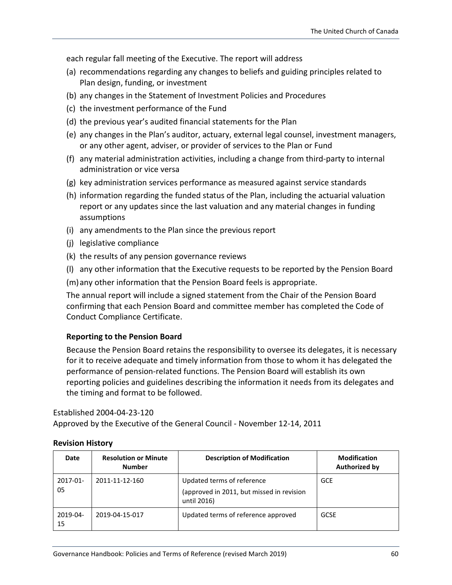each regular fall meeting of the Executive. The report will address

- (a) recommendations regarding any changes to beliefs and guiding principles related to Plan design, funding, or investment
- (b) any changes in the Statement of Investment Policies and Procedures
- (c) the investment performance of the Fund
- (d) the previous year's audited financial statements for the Plan
- (e) any changes in the Plan's auditor, actuary, external legal counsel, investment managers, or any other agent, adviser, or provider of services to the Plan or Fund
- (f) any material administration activities, including a change from third-party to internal administration or vice versa
- (g) key administration services performance as measured against service standards
- (h) information regarding the funded status of the Plan, including the actuarial valuation report or any updates since the last valuation and any material changes in funding assumptions
- (i) any amendments to the Plan since the previous report
- (j) legislative compliance
- (k) the results of any pension governance reviews
- (l) any other information that the Executive requests to be reported by the Pension Board
- (m)any other information that the Pension Board feels is appropriate.

The annual report will include a signed statement from the Chair of the Pension Board confirming that each Pension Board and committee member has completed the Code of Conduct Compliance Certificate.

### **Reporting to the Pension Board**

Because the Pension Board retains the responsibility to oversee its delegates, it is necessary for it to receive adequate and timely information from those to whom it has delegated the performance of pension-related functions. The Pension Board will establish its own reporting policies and guidelines describing the information it needs from its delegates and the timing and format to be followed.

#### Established 2004-04-23-120

Approved by the Executive of the General Council - November 12-14, 2011

| Date           | <b>Resolution or Minute</b><br><b>Number</b> | <b>Description of Modification</b>                                                     | <b>Modification</b><br><b>Authorized by</b> |
|----------------|----------------------------------------------|----------------------------------------------------------------------------------------|---------------------------------------------|
| 2017-01-<br>05 | 2011-11-12-160                               | Updated terms of reference<br>(approved in 2011, but missed in revision<br>until 2016) | <b>GCE</b>                                  |
| 2019-04-<br>15 | 2019-04-15-017                               | Updated terms of reference approved                                                    | <b>GCSE</b>                                 |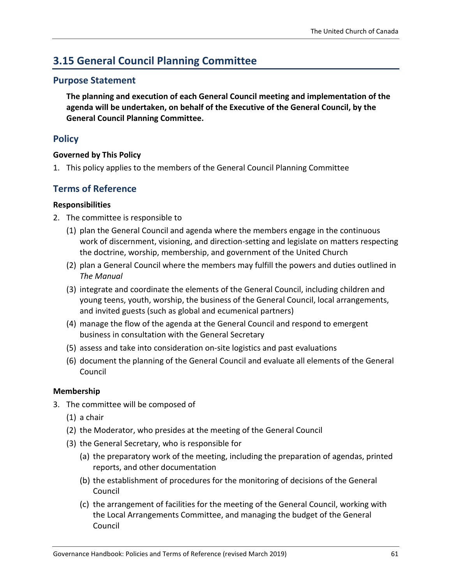# **3.15 General Council Planning Committee**

### **Purpose Statement**

**The planning and execution of each General Council meeting and implementation of the agenda will be undertaken, on behalf of the Executive of the General Council, by the General Council Planning Committee.**

### **Policy**

### **Governed by This Policy**

1. This policy applies to the members of the General Council Planning Committee

### **Terms of Reference**

### **Responsibilities**

- 2. The committee is responsible to
	- (1) plan the General Council and agenda where the members engage in the continuous work of discernment, visioning, and direction-setting and legislate on matters respecting the doctrine, worship, membership, and government of the United Church
	- (2) plan a General Council where the members may fulfill the powers and duties outlined in *The Manual*
	- (3) integrate and coordinate the elements of the General Council, including children and young teens, youth, worship, the business of the General Council, local arrangements, and invited guests (such as global and ecumenical partners)
	- (4) manage the flow of the agenda at the General Council and respond to emergent business in consultation with the General Secretary
	- (5) assess and take into consideration on-site logistics and past evaluations
	- (6) document the planning of the General Council and evaluate all elements of the General Council

### **Membership**

- 3. The committee will be composed of
	- (1) a chair
	- (2) the Moderator, who presides at the meeting of the General Council
	- (3) the General Secretary, who is responsible for
		- (a) the preparatory work of the meeting, including the preparation of agendas, printed reports, and other documentation
		- (b) the establishment of procedures for the monitoring of decisions of the General Council
		- (c) the arrangement of facilities for the meeting of the General Council, working with the Local Arrangements Committee, and managing the budget of the General Council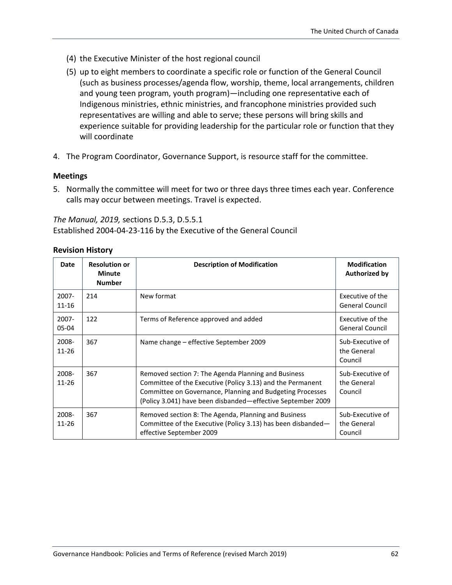- (4) the Executive Minister of the host regional council
- (5) up to eight members to coordinate a specific role or function of the General Council (such as business processes/agenda flow, worship, theme, local arrangements, children and young teen program, youth program)—including one representative each of Indigenous ministries, ethnic ministries, and francophone ministries provided such representatives are willing and able to serve; these persons will bring skills and experience suitable for providing leadership for the particular role or function that they will coordinate
- 4. The Program Coordinator, Governance Support, is resource staff for the committee.

#### **Meetings**

5. Normally the committee will meet for two or three days three times each year. Conference calls may occur between meetings. Travel is expected.

*The Manual, 2019,* sections D.5.3, D.5.5.1 Established 2004-04-23-116 by the Executive of the General Council

| <b>Date</b>           | <b>Resolution or</b><br><b>Minute</b><br><b>Number</b> | <b>Description of Modification</b>                                                                                                                                                                                                            | <b>Modification</b><br><b>Authorized by</b> |
|-----------------------|--------------------------------------------------------|-----------------------------------------------------------------------------------------------------------------------------------------------------------------------------------------------------------------------------------------------|---------------------------------------------|
| $2007 -$<br>$11 - 16$ | 214                                                    | New format                                                                                                                                                                                                                                    | Executive of the<br><b>General Council</b>  |
| $2007 -$<br>$05-04$   | 122                                                    | Terms of Reference approved and added                                                                                                                                                                                                         | Executive of the<br><b>General Council</b>  |
| 2008-<br>11-26        | 367                                                    | Name change – effective September 2009                                                                                                                                                                                                        | Sub-Executive of<br>the General<br>Council  |
| 2008-<br>$11 - 26$    | 367                                                    | Removed section 7: The Agenda Planning and Business<br>Committee of the Executive (Policy 3.13) and the Permanent<br>Committee on Governance, Planning and Budgeting Processes<br>(Policy 3.041) have been disbanded—effective September 2009 | Sub-Executive of<br>the General<br>Council  |
| 2008-<br>11-26        | 367                                                    | Removed section 8: The Agenda, Planning and Business<br>Committee of the Executive (Policy 3.13) has been disbanded—<br>effective September 2009                                                                                              | Sub-Executive of<br>the General<br>Council  |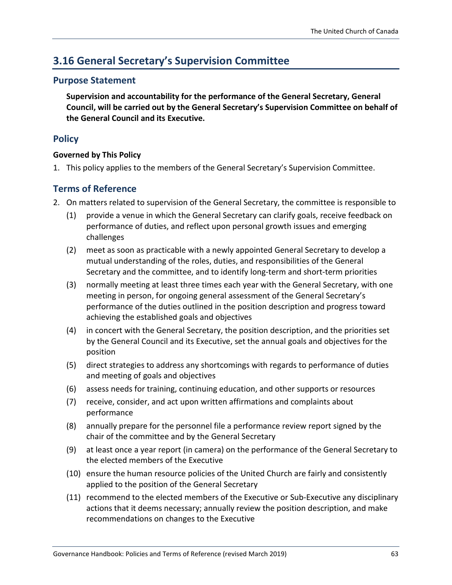# **3.16 General Secretary's Supervision Committee**

### **Purpose Statement**

**Supervision and accountability for the performance of the General Secretary, General Council, will be carried out by the General Secretary's Supervision Committee on behalf of the General Council and its Executive.**

### **Policy**

### **Governed by This Policy**

1. This policy applies to the members of the General Secretary's Supervision Committee.

### **Terms of Reference**

- 2. On matters related to supervision of the General Secretary, the committee is responsible to
	- (1) provide a venue in which the General Secretary can clarify goals, receive feedback on performance of duties, and reflect upon personal growth issues and emerging challenges
	- (2) meet as soon as practicable with a newly appointed General Secretary to develop a mutual understanding of the roles, duties, and responsibilities of the General Secretary and the committee, and to identify long-term and short-term priorities
	- (3) normally meeting at least three times each year with the General Secretary, with one meeting in person, for ongoing general assessment of the General Secretary's performance of the duties outlined in the position description and progress toward achieving the established goals and objectives
	- (4) in concert with the General Secretary, the position description, and the priorities set by the General Council and its Executive, set the annual goals and objectives for the position
	- (5) direct strategies to address any shortcomings with regards to performance of duties and meeting of goals and objectives
	- (6) assess needs for training, continuing education, and other supports or resources
	- (7) receive, consider, and act upon written affirmations and complaints about performance
	- (8) annually prepare for the personnel file a performance review report signed by the chair of the committee and by the General Secretary
	- (9) at least once a year report (in camera) on the performance of the General Secretary to the elected members of the Executive
	- (10) ensure the human resource policies of the United Church are fairly and consistently applied to the position of the General Secretary
	- (11) recommend to the elected members of the Executive or Sub-Executive any disciplinary actions that it deems necessary; annually review the position description, and make recommendations on changes to the Executive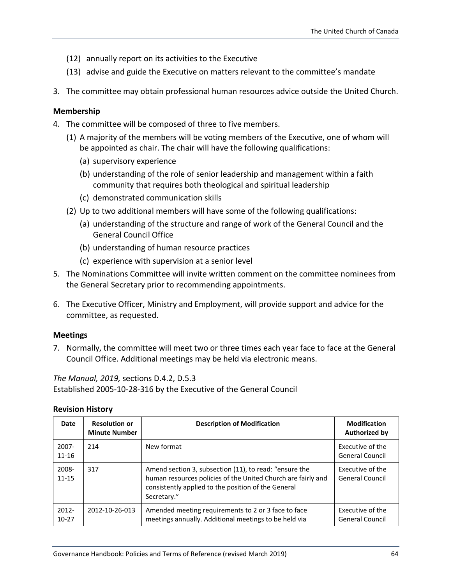- (12) annually report on its activities to the Executive
- (13) advise and guide the Executive on matters relevant to the committee's mandate
- 3. The committee may obtain professional human resources advice outside the United Church.

#### **Membership**

- 4. The committee will be composed of three to five members.
	- (1) A majority of the members will be voting members of the Executive, one of whom will be appointed as chair. The chair will have the following qualifications:
		- (a) supervisory experience
		- (b) understanding of the role of senior leadership and management within a faith community that requires both theological and spiritual leadership
		- (c) demonstrated communication skills
	- (2) Up to two additional members will have some of the following qualifications:
		- (a) understanding of the structure and range of work of the General Council and the General Council Office
		- (b) understanding of human resource practices
		- (c) experience with supervision at a senior level
- 5. The Nominations Committee will invite written comment on the committee nominees from the General Secretary prior to recommending appointments.
- 6. The Executive Officer, Ministry and Employment, will provide support and advice for the committee, as requested.

#### **Meetings**

7. Normally, the committee will meet two or three times each year face to face at the General Council Office. Additional meetings may be held via electronic means.

*The Manual, 2019,* sections D.4.2, D.5.3

Established 2005-10-28-316 by the Executive of the General Council

| Date                  | <b>Resolution or</b><br><b>Minute Number</b> | <b>Description of Modification</b>                                                                                                                                                           | <b>Modification</b><br>Authorized by       |
|-----------------------|----------------------------------------------|----------------------------------------------------------------------------------------------------------------------------------------------------------------------------------------------|--------------------------------------------|
| $2007 -$<br>$11 - 16$ | 214                                          | New format                                                                                                                                                                                   | Executive of the<br><b>General Council</b> |
| 2008-<br>$11 - 15$    | 317                                          | Amend section 3, subsection (11), to read: "ensure the<br>human resources policies of the United Church are fairly and<br>consistently applied to the position of the General<br>Secretary." | Executive of the<br><b>General Council</b> |
| $2012 -$<br>$10-27$   | 2012-10-26-013                               | Amended meeting requirements to 2 or 3 face to face<br>meetings annually. Additional meetings to be held via                                                                                 | Executive of the<br><b>General Council</b> |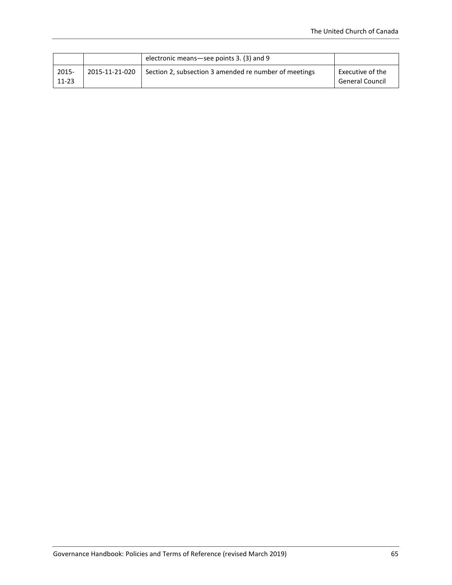|                    |                | electronic means-see points 3. (3) and 9              |                                            |
|--------------------|----------------|-------------------------------------------------------|--------------------------------------------|
| 2015-<br>$11 - 23$ | 2015-11-21-020 | Section 2, subsection 3 amended re number of meetings | Executive of the<br><b>General Council</b> |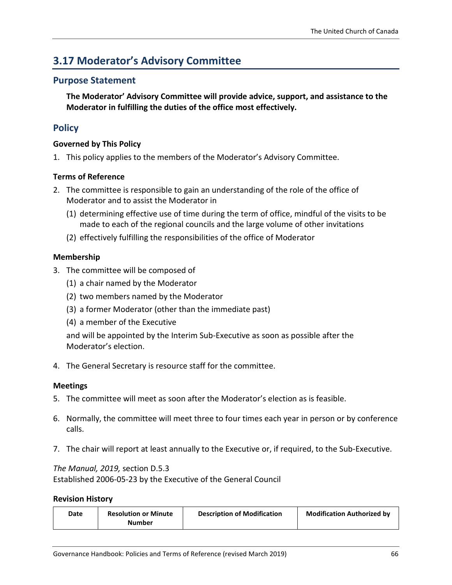# **3.17 Moderator's Advisory Committee**

### **Purpose Statement**

**The Moderator' Advisory Committee will provide advice, support, and assistance to the Moderator in fulfilling the duties of the office most effectively.**

### **Policy**

### **Governed by This Policy**

1. This policy applies to the members of the Moderator's Advisory Committee.

### **Terms of Reference**

- 2. The committee is responsible to gain an understanding of the role of the office of Moderator and to assist the Moderator in
	- (1) determining effective use of time during the term of office, mindful of the visits to be made to each of the regional councils and the large volume of other invitations
	- (2) effectively fulfilling the responsibilities of the office of Moderator

### **Membership**

- 3. The committee will be composed of
	- (1) a chair named by the Moderator
	- (2) two members named by the Moderator
	- (3) a former Moderator (other than the immediate past)
	- (4) a member of the Executive

and will be appointed by the Interim Sub-Executive as soon as possible after the Moderator's election.

4. The General Secretary is resource staff for the committee.

### **Meetings**

- 5. The committee will meet as soon after the Moderator's election as is feasible.
- 6. Normally, the committee will meet three to four times each year in person or by conference calls.
- 7. The chair will report at least annually to the Executive or, if required, to the Sub-Executive.

### *The Manual, 2019,* section D.5.3 Established 2006-05-23 by the Executive of the General Council

| Date | <b>Resolution or Minute</b><br>Number | <b>Description of Modification</b> | <b>Modification Authorized by</b> |
|------|---------------------------------------|------------------------------------|-----------------------------------|
|------|---------------------------------------|------------------------------------|-----------------------------------|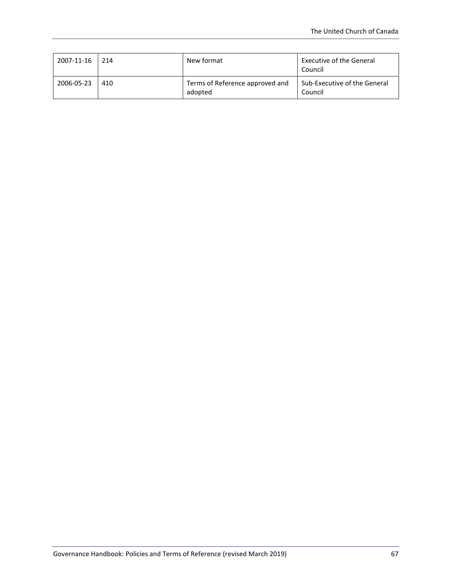| 2007-11-16 | 214 | New format                                 | <b>Executive of the General</b><br>Council     |
|------------|-----|--------------------------------------------|------------------------------------------------|
| 2006-05-23 | 410 | Terms of Reference approved and<br>adopted | <b>Sub-Executive of the General</b><br>Council |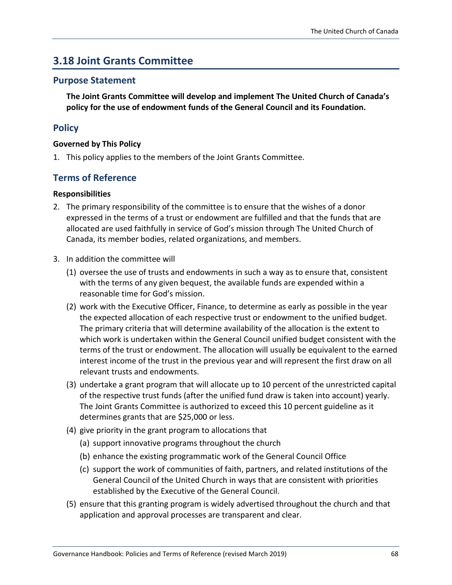# **3.18 Joint Grants Committee**

### **Purpose Statement**

**The Joint Grants Committee will develop and implement The United Church of Canada's policy for the use of endowment funds of the General Council and its Foundation.**

### **Policy**

### **Governed by This Policy**

1. This policy applies to the members of the Joint Grants Committee.

### **Terms of Reference**

### **Responsibilities**

- 2. The primary responsibility of the committee is to ensure that the wishes of a donor expressed in the terms of a trust or endowment are fulfilled and that the funds that are allocated are used faithfully in service of God's mission through The United Church of Canada, its member bodies, related organizations, and members.
- 3. In addition the committee will
	- (1) oversee the use of trusts and endowments in such a way as to ensure that, consistent with the terms of any given bequest, the available funds are expended within a reasonable time for God's mission.
	- (2) work with the Executive Officer, Finance, to determine as early as possible in the year the expected allocation of each respective trust or endowment to the unified budget. The primary criteria that will determine availability of the allocation is the extent to which work is undertaken within the General Council unified budget consistent with the terms of the trust or endowment. The allocation will usually be equivalent to the earned interest income of the trust in the previous year and will represent the first draw on all relevant trusts and endowments.
	- (3) undertake a grant program that will allocate up to 10 percent of the unrestricted capital of the respective trust funds (after the unified fund draw is taken into account) yearly. The Joint Grants Committee is authorized to exceed this 10 percent guideline as it determines grants that are \$25,000 or less.
	- (4) give priority in the grant program to allocations that
		- (a) support innovative programs throughout the church
		- (b) enhance the existing programmatic work of the General Council Office
		- (c) support the work of communities of faith, partners, and related institutions of the General Council of the United Church in ways that are consistent with priorities established by the Executive of the General Council.
	- (5) ensure that this granting program is widely advertised throughout the church and that application and approval processes are transparent and clear.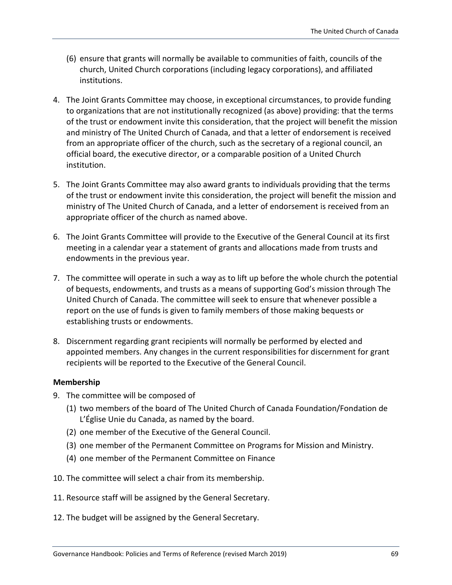- (6) ensure that grants will normally be available to communities of faith, councils of the church, United Church corporations (including legacy corporations), and affiliated institutions.
- 4. The Joint Grants Committee may choose, in exceptional circumstances, to provide funding to organizations that are not institutionally recognized (as above) providing: that the terms of the trust or endowment invite this consideration, that the project will benefit the mission and ministry of The United Church of Canada, and that a letter of endorsement is received from an appropriate officer of the church, such as the secretary of a regional council, an official board, the executive director, or a comparable position of a United Church institution.
- 5. The Joint Grants Committee may also award grants to individuals providing that the terms of the trust or endowment invite this consideration, the project will benefit the mission and ministry of The United Church of Canada, and a letter of endorsement is received from an appropriate officer of the church as named above.
- 6. The Joint Grants Committee will provide to the Executive of the General Council at its first meeting in a calendar year a statement of grants and allocations made from trusts and endowments in the previous year.
- 7. The committee will operate in such a way as to lift up before the whole church the potential of bequests, endowments, and trusts as a means of supporting God's mission through The United Church of Canada. The committee will seek to ensure that whenever possible a report on the use of funds is given to family members of those making bequests or establishing trusts or endowments.
- 8. Discernment regarding grant recipients will normally be performed by elected and appointed members. Any changes in the current responsibilities for discernment for grant recipients will be reported to the Executive of the General Council.

### **Membership**

- 9. The committee will be composed of
	- (1) two members of the board of The United Church of Canada Foundation/Fondation de L'Église Unie du Canada, as named by the board.
	- (2) one member of the Executive of the General Council.
	- (3) one member of the Permanent Committee on Programs for Mission and Ministry.
	- (4) one member of the Permanent Committee on Finance
- 10. The committee will select a chair from its membership.
- 11. Resource staff will be assigned by the General Secretary.
- 12. The budget will be assigned by the General Secretary.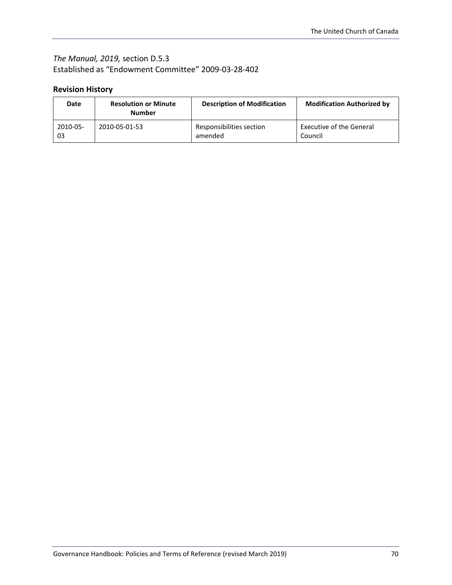### *The Manual, 2019,* section D.5.3 Established as "Endowment Committee" 2009-03-28-402

| Date     | <b>Resolution or Minute</b><br><b>Number</b> | <b>Description of Modification</b> | <b>Modification Authorized by</b> |
|----------|----------------------------------------------|------------------------------------|-----------------------------------|
| 2010-05- | 2010-05-01-53                                | Responsibilities section           | <b>Executive of the General</b>   |
| 03       |                                              | amended                            | Council                           |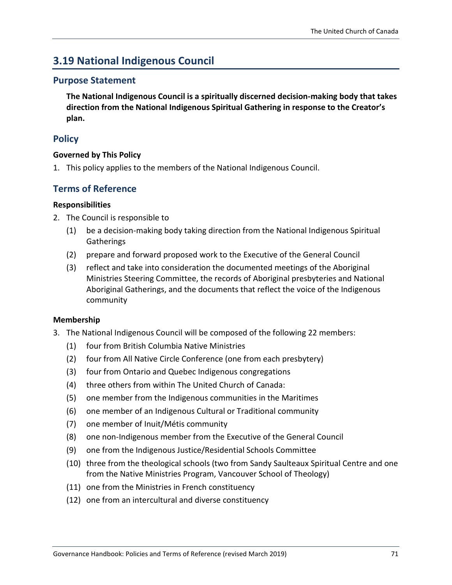# **3.19 National Indigenous Council**

### **Purpose Statement**

**The National Indigenous Council is a spiritually discerned decision-making body that takes direction from the National Indigenous Spiritual Gathering in response to the Creator's plan.** 

### **Policy**

### **Governed by This Policy**

1. This policy applies to the members of the National Indigenous Council.

### **Terms of Reference**

### **Responsibilities**

- 2. The Council is responsible to
	- (1) be a decision-making body taking direction from the National Indigenous Spiritual **Gatherings**
	- (2) prepare and forward proposed work to the Executive of the General Council
	- (3) reflect and take into consideration the documented meetings of the Aboriginal Ministries Steering Committee, the records of Aboriginal presbyteries and National Aboriginal Gatherings, and the documents that reflect the voice of the Indigenous community

### **Membership**

- 3. The National Indigenous Council will be composed of the following 22 members:
	- (1) four from British Columbia Native Ministries
	- (2) four from All Native Circle Conference (one from each presbytery)
	- (3) four from Ontario and Quebec Indigenous congregations
	- (4) three others from within The United Church of Canada:
	- (5) one member from the Indigenous communities in the Maritimes
	- (6) one member of an Indigenous Cultural or Traditional community
	- (7) one member of Inuit/Métis community
	- (8) one non-Indigenous member from the Executive of the General Council
	- (9) one from the Indigenous Justice/Residential Schools Committee
	- (10) three from the theological schools (two from Sandy Saulteaux Spiritual Centre and one from the Native Ministries Program, Vancouver School of Theology)
	- (11) one from the Ministries in French constituency
	- (12) one from an intercultural and diverse constituency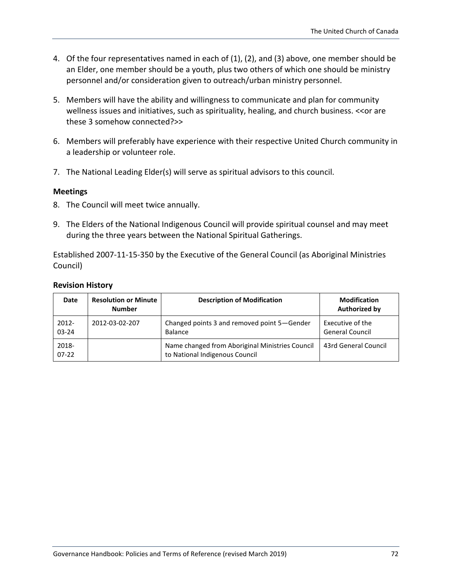- 4. Of the four representatives named in each of (1), (2), and (3) above, one member should be an Elder, one member should be a youth, plus two others of which one should be ministry personnel and/or consideration given to outreach/urban ministry personnel.
- 5. Members will have the ability and willingness to communicate and plan for community wellness issues and initiatives, such as spirituality, healing, and church business. << or are these 3 somehow connected?>>
- 6. Members will preferably have experience with their respective United Church community in a leadership or volunteer role.
- 7. The National Leading Elder(s) will serve as spiritual advisors to this council.

#### **Meetings**

- 8. The Council will meet twice annually.
- 9. The Elders of the National Indigenous Council will provide spiritual counsel and may meet during the three years between the National Spiritual Gatherings.

Established 2007-11-15-350 by the Executive of the General Council (as Aboriginal Ministries Council)

| Date                  | <b>Resolution or Minute</b><br><b>Number</b> | <b>Description of Modification</b>                                                | <b>Modification</b><br><b>Authorized by</b> |
|-----------------------|----------------------------------------------|-----------------------------------------------------------------------------------|---------------------------------------------|
| $2012 -$<br>$03 - 24$ | 2012-03-02-207                               | Changed points 3 and removed point 5-Gender<br>Balance                            | Executive of the<br><b>General Council</b>  |
| 2018-<br>$07-22$      |                                              | Name changed from Aboriginal Ministries Council<br>to National Indigenous Council | 43rd General Council                        |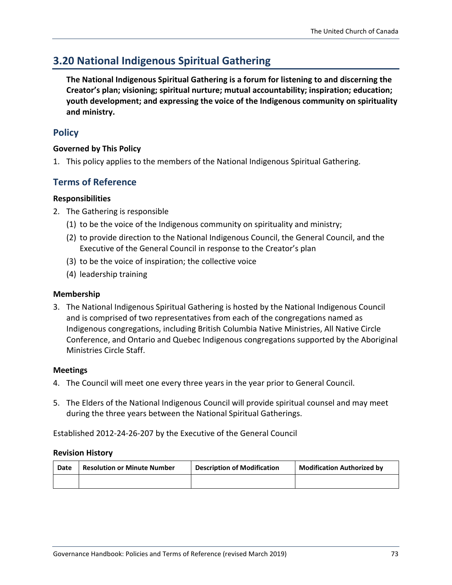## **3.20 National Indigenous Spiritual Gathering**

**The National Indigenous Spiritual Gathering is a forum for listening to and discerning the Creator's plan; visioning; spiritual nurture; mutual accountability; inspiration; education; youth development; and expressing the voice of the Indigenous community on spirituality and ministry.**

## **Policy**

#### **Governed by This Policy**

1. This policy applies to the members of the National Indigenous Spiritual Gathering.

## **Terms of Reference**

#### **Responsibilities**

- 2. The Gathering is responsible
	- (1) to be the voice of the Indigenous community on spirituality and ministry;
	- (2) to provide direction to the National Indigenous Council, the General Council, and the Executive of the General Council in response to the Creator's plan
	- (3) to be the voice of inspiration; the collective voice
	- (4) leadership training

#### **Membership**

3. The National Indigenous Spiritual Gathering is hosted by the National Indigenous Council and is comprised of two representatives from each of the congregations named as Indigenous congregations, including British Columbia Native Ministries, All Native Circle Conference, and Ontario and Quebec Indigenous congregations supported by the Aboriginal Ministries Circle Staff.

#### **Meetings**

- 4. The Council will meet one every three years in the year prior to General Council.
- 5. The Elders of the National Indigenous Council will provide spiritual counsel and may meet during the three years between the National Spiritual Gatherings.

Established 2012-24-26-207 by the Executive of the General Council

#### **Revision History**

| Date | <b>Resolution or Minute Number</b> | <b>Description of Modification</b> | <b>Modification Authorized by</b> |
|------|------------------------------------|------------------------------------|-----------------------------------|
|      |                                    |                                    |                                   |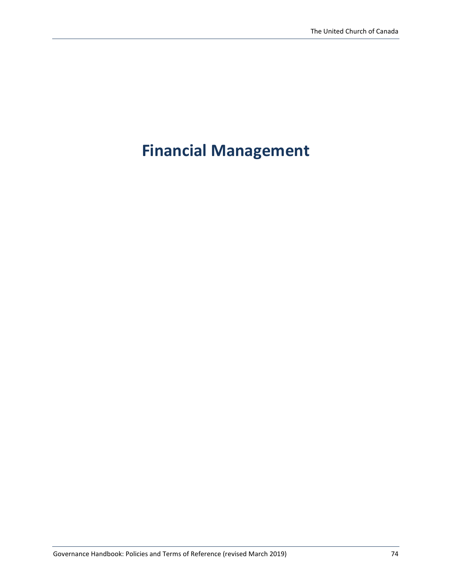# **Financial Management**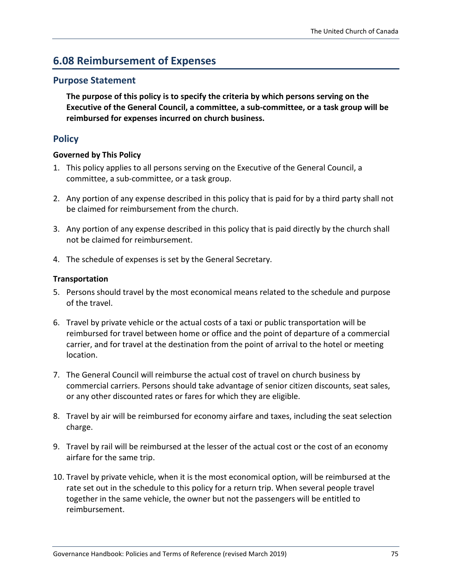## **6.08 Reimbursement of Expenses**

### **Purpose Statement**

**The purpose of this policy is to specify the criteria by which persons serving on the Executive of the General Council, a committee, a sub-committee, or a task group will be reimbursed for expenses incurred on church business.**

## **Policy**

#### **Governed by This Policy**

- 1. This policy applies to all persons serving on the Executive of the General Council, a committee, a sub-committee, or a task group.
- 2. Any portion of any expense described in this policy that is paid for by a third party shall not be claimed for reimbursement from the church.
- 3. Any portion of any expense described in this policy that is paid directly by the church shall not be claimed for reimbursement.
- 4. The schedule of expenses is set by the General Secretary.

#### **Transportation**

- 5. Persons should travel by the most economical means related to the schedule and purpose of the travel.
- 6. Travel by private vehicle or the actual costs of a taxi or public transportation will be reimbursed for travel between home or office and the point of departure of a commercial carrier, and for travel at the destination from the point of arrival to the hotel or meeting location.
- 7. The General Council will reimburse the actual cost of travel on church business by commercial carriers. Persons should take advantage of senior citizen discounts, seat sales, or any other discounted rates or fares for which they are eligible.
- 8. Travel by air will be reimbursed for economy airfare and taxes, including the seat selection charge.
- 9. Travel by rail will be reimbursed at the lesser of the actual cost or the cost of an economy airfare for the same trip.
- 10. Travel by private vehicle, when it is the most economical option, will be reimbursed at the rate set out in the schedule to this policy for a return trip. When several people travel together in the same vehicle, the owner but not the passengers will be entitled to reimbursement.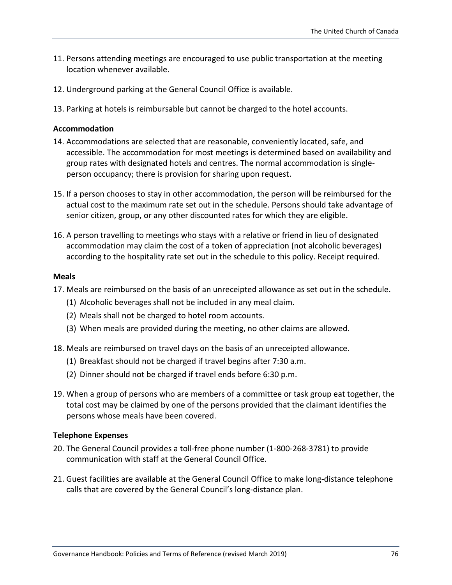- 11. Persons attending meetings are encouraged to use public transportation at the meeting location whenever available.
- 12. Underground parking at the General Council Office is available.
- 13. Parking at hotels is reimbursable but cannot be charged to the hotel accounts.

#### **Accommodation**

- 14. Accommodations are selected that are reasonable, conveniently located, safe, and accessible. The accommodation for most meetings is determined based on availability and group rates with designated hotels and centres. The normal accommodation is singleperson occupancy; there is provision for sharing upon request.
- 15. If a person chooses to stay in other accommodation, the person will be reimbursed for the actual cost to the maximum rate set out in the schedule. Persons should take advantage of senior citizen, group, or any other discounted rates for which they are eligible.
- 16. A person travelling to meetings who stays with a relative or friend in lieu of designated accommodation may claim the cost of a token of appreciation (not alcoholic beverages) according to the hospitality rate set out in the schedule to this policy. Receipt required.

#### **Meals**

- 17. Meals are reimbursed on the basis of an unreceipted allowance as set out in the schedule.
	- (1) Alcoholic beverages shall not be included in any meal claim.
	- (2) Meals shall not be charged to hotel room accounts.
	- (3) When meals are provided during the meeting, no other claims are allowed.
- 18. Meals are reimbursed on travel days on the basis of an unreceipted allowance.
	- (1) Breakfast should not be charged if travel begins after 7:30 a.m.
	- (2) Dinner should not be charged if travel ends before 6:30 p.m.
- 19. When a group of persons who are members of a committee or task group eat together, the total cost may be claimed by one of the persons provided that the claimant identifies the persons whose meals have been covered.

#### **Telephone Expenses**

- 20. The General Council provides a toll-free phone number (1-800-268-3781) to provide communication with staff at the General Council Office.
- 21. Guest facilities are available at the General Council Office to make long-distance telephone calls that are covered by the General Council's long-distance plan.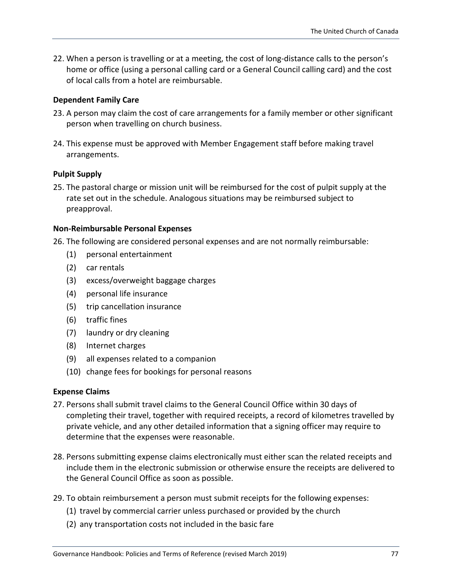22. When a person is travelling or at a meeting, the cost of long-distance calls to the person's home or office (using a personal calling card or a General Council calling card) and the cost of local calls from a hotel are reimbursable.

#### **Dependent Family Care**

- 23. A person may claim the cost of care arrangements for a family member or other significant person when travelling on church business.
- 24. This expense must be approved with Member Engagement staff before making travel arrangements.

#### **Pulpit Supply**

25. The pastoral charge or mission unit will be reimbursed for the cost of pulpit supply at the rate set out in the schedule. Analogous situations may be reimbursed subject to preapproval.

#### **Non-Reimbursable Personal Expenses**

26. The following are considered personal expenses and are not normally reimbursable:

- (1) personal entertainment
- (2) car rentals
- (3) excess/overweight baggage charges
- (4) personal life insurance
- (5) trip cancellation insurance
- (6) traffic fines
- (7) laundry or dry cleaning
- (8) Internet charges
- (9) all expenses related to a companion
- (10) change fees for bookings for personal reasons

#### **Expense Claims**

- 27. Persons shall submit travel claims to the General Council Office within 30 days of completing their travel, together with required receipts, a record of kilometres travelled by private vehicle, and any other detailed information that a signing officer may require to determine that the expenses were reasonable.
- 28. Persons submitting expense claims electronically must either scan the related receipts and include them in the electronic submission or otherwise ensure the receipts are delivered to the General Council Office as soon as possible.
- 29. To obtain reimbursement a person must submit receipts for the following expenses:
	- (1) travel by commercial carrier unless purchased or provided by the church
	- (2) any transportation costs not included in the basic fare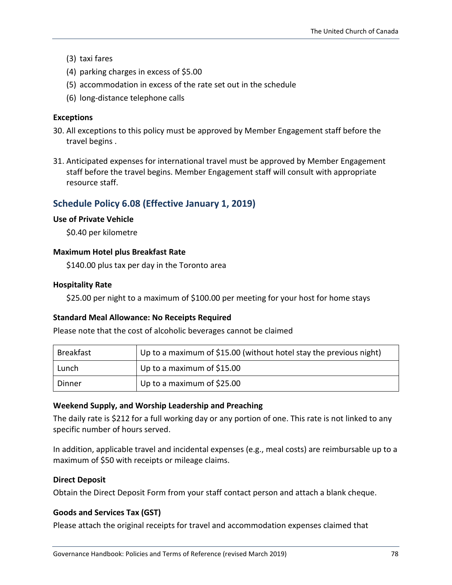- (3) taxi fares
- (4) parking charges in excess of \$5.00
- (5) accommodation in excess of the rate set out in the schedule
- (6) long-distance telephone calls

#### **Exceptions**

- 30. All exceptions to this policy must be approved by Member Engagement staff before the travel begins .
- 31. Anticipated expenses for international travel must be approved by Member Engagement staff before the travel begins. Member Engagement staff will consult with appropriate resource staff.

### **Schedule Policy 6.08 (Effective January 1, 2019)**

#### **Use of Private Vehicle**

\$0.40 per kilometre

#### **Maximum Hotel plus Breakfast Rate**

\$140.00 plus tax per day in the Toronto area

#### **Hospitality Rate**

\$25.00 per night to a maximum of \$100.00 per meeting for your host for home stays

#### **Standard Meal Allowance: No Receipts Required**

Please note that the cost of alcoholic beverages cannot be claimed

| Breakfast | Up to a maximum of \$15.00 (without hotel stay the previous night) |
|-----------|--------------------------------------------------------------------|
| Lunch     | Up to a maximum of \$15.00                                         |
| Dinner    | Up to a maximum of \$25.00                                         |

#### **Weekend Supply, and Worship Leadership and Preaching**

The daily rate is \$212 for a full working day or any portion of one. This rate is not linked to any specific number of hours served.

In addition, applicable travel and incidental expenses (e.g., meal costs) are reimbursable up to a maximum of \$50 with receipts or mileage claims.

#### **Direct Deposit**

Obtain the Direct Deposit Form from your staff contact person and attach a blank cheque.

#### **Goods and Services Tax (GST)**

Please attach the original receipts for travel and accommodation expenses claimed that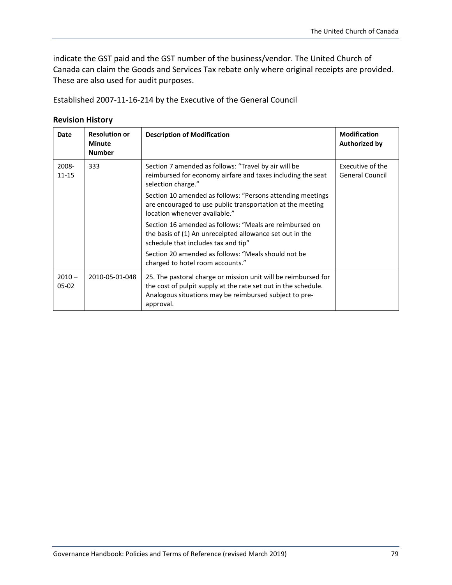indicate the GST paid and the GST number of the business/vendor. The United Church of Canada can claim the Goods and Services Tax rebate only where original receipts are provided. These are also used for audit purposes.

Established 2007-11-16-214 by the Executive of the General Council

#### **Revision History**

| Date                | <b>Resolution or</b><br><b>Minute</b><br><b>Number</b> | <b>Description of Modification</b>                                                                                                                                                                      | <b>Modification</b><br><b>Authorized by</b> |
|---------------------|--------------------------------------------------------|---------------------------------------------------------------------------------------------------------------------------------------------------------------------------------------------------------|---------------------------------------------|
| 2008-<br>$11 - 15$  | 333                                                    | Section 7 amended as follows: "Travel by air will be<br>reimbursed for economy airfare and taxes including the seat<br>selection charge."                                                               | Executive of the<br><b>General Council</b>  |
|                     |                                                        | Section 10 amended as follows: "Persons attending meetings<br>are encouraged to use public transportation at the meeting<br>location whenever available."                                               |                                             |
|                     |                                                        | Section 16 amended as follows: "Meals are reimbursed on<br>the basis of (1) An unreceipted allowance set out in the<br>schedule that includes tax and tip"                                              |                                             |
|                     |                                                        | Section 20 amended as follows: "Meals should not be<br>charged to hotel room accounts."                                                                                                                 |                                             |
| $2010 -$<br>$05-02$ | 2010-05-01-048                                         | 25. The pastoral charge or mission unit will be reimbursed for<br>the cost of pulpit supply at the rate set out in the schedule.<br>Analogous situations may be reimbursed subject to pre-<br>approval. |                                             |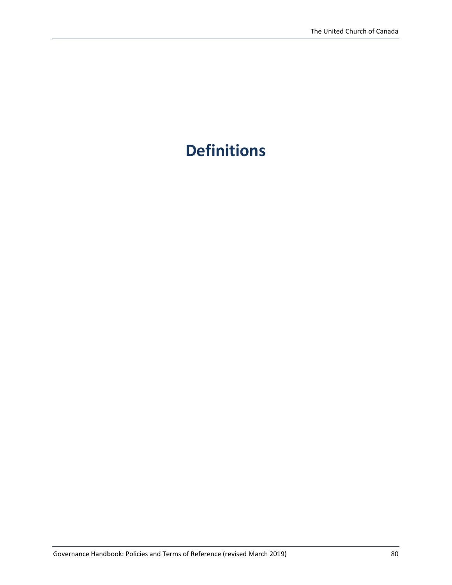# **Definitions**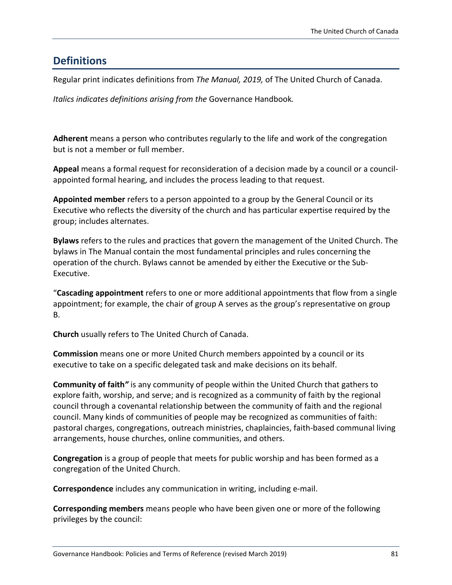## **Definitions**

Regular print indicates definitions from *The Manual, 2019,* of The United Church of Canada.

*Italics indicates definitions arising from the* Governance Handbook*.*

**Adherent** means a person who contributes regularly to the life and work of the congregation but is not a member or full member.

**Appeal** means a formal request for reconsideration of a decision made by a council or a councilappointed formal hearing, and includes the process leading to that request.

**Appointed member** refers to a person appointed to a group by the General Council or its Executive who reflects the diversity of the church and has particular expertise required by the group; includes alternates.

**Bylaws** refers to the rules and practices that govern the management of the United Church. The bylaws in The Manual contain the most fundamental principles and rules concerning the operation of the church. Bylaws cannot be amended by either the Executive or the Sub-Executive.

"**Cascading appointment** refers to one or more additional appointments that flow from a single appointment; for example, the chair of group A serves as the group's representative on group B.

**Church** usually refers to The United Church of Canada.

**Commission** means one or more United Church members appointed by a council or its executive to take on a specific delegated task and make decisions on its behalf.

**Community of faith***"* is any community of people within the United Church that gathers to explore faith, worship, and serve; and is recognized as a community of faith by the regional council through a covenantal relationship between the community of faith and the regional council. Many kinds of communities of people may be recognized as communities of faith: pastoral charges, congregations, outreach ministries, chaplaincies, faith-based communal living arrangements, house churches, online communities, and others.

**Congregation** is a group of people that meets for public worship and has been formed as a congregation of the United Church.

**Correspondence** includes any communication in writing, including e-mail.

**Corresponding members** means people who have been given one or more of the following privileges by the council: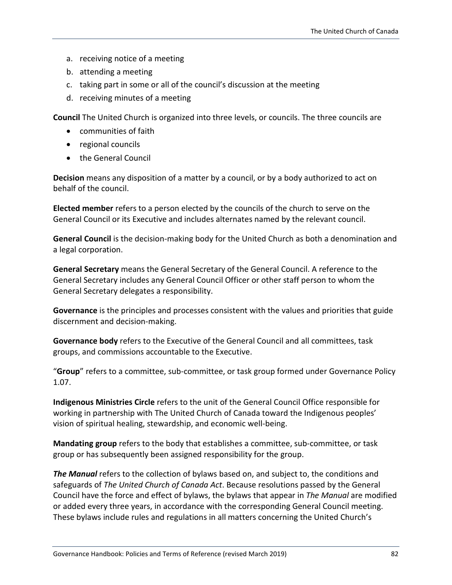- a. receiving notice of a meeting
- b. attending a meeting
- c. taking part in some or all of the council's discussion at the meeting
- d. receiving minutes of a meeting

**Council** The United Church is organized into three levels, or councils. The three councils are

- communities of faith
- regional councils
- the General Council

**Decision** means any disposition of a matter by a council, or by a body authorized to act on behalf of the council.

**Elected member** refers to a person elected by the councils of the church to serve on the General Council or its Executive and includes alternates named by the relevant council.

**General Council** is the decision-making body for the United Church as both a denomination and a legal corporation.

**General Secretary** means the General Secretary of the General Council. A reference to the General Secretary includes any General Council Officer or other staff person to whom the General Secretary delegates a responsibility.

**Governance** is the principles and processes consistent with the values and priorities that guide discernment and decision-making.

**Governance body** refers to the Executive of the General Council and all committees, task groups, and commissions accountable to the Executive.

"**Group**" refers to a committee, sub-committee, or task group formed under Governance Policy 1.07.

**Indigenous Ministries Circle** refers to the unit of the General Council Office responsible for working in partnership with The United Church of Canada toward the Indigenous peoples' vision of spiritual healing, stewardship, and economic well-being.

**Mandating group** refers to the body that establishes a committee, sub-committee, or task group or has subsequently been assigned responsibility for the group.

*The Manual* refers to the collection of bylaws based on, and subject to, the conditions and safeguards of *The United Church of Canada Act*. Because resolutions passed by the General Council have the force and effect of bylaws, the bylaws that appear in *The Manual* are modified or added every three years, in accordance with the corresponding General Council meeting. These bylaws include rules and regulations in all matters concerning the United Church's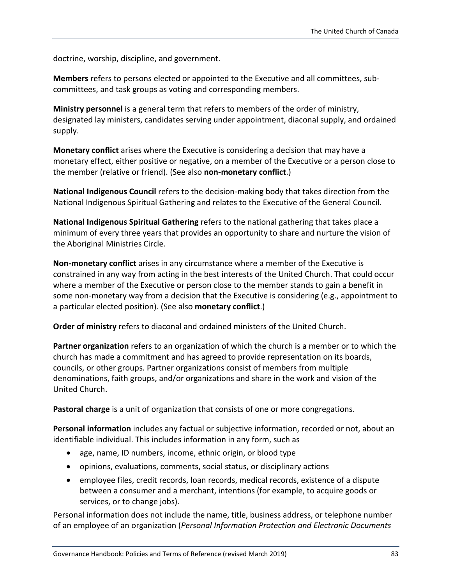doctrine, worship, discipline, and government.

**Members** refers to persons elected or appointed to the Executive and all committees, subcommittees, and task groups as voting and corresponding members.

**Ministry personnel** is a general term that refers to members of the order of ministry, designated lay ministers, candidates serving under appointment, diaconal supply, and ordained supply.

**Monetary conflict** arises where the Executive is considering a decision that may have a monetary effect, either positive or negative, on a member of the Executive or a person close to the member (relative or friend). (See also **non-monetary conflict**.)

**National Indigenous Council** refers to the decision-making body that takes direction from the National Indigenous Spiritual Gathering and relates to the Executive of the General Council.

**National Indigenous Spiritual Gathering** refers to the national gathering that takes place a minimum of every three years that provides an opportunity to share and nurture the vision of the Aboriginal Ministries Circle.

**Non-monetary conflict** arises in any circumstance where a member of the Executive is constrained in any way from acting in the best interests of the United Church. That could occur where a member of the Executive or person close to the member stands to gain a benefit in some non-monetary way from a decision that the Executive is considering (e.g., appointment to a particular elected position). (See also **monetary conflict**.)

**Order of ministry** refers to diaconal and ordained ministers of the United Church.

**Partner organization** refers to an organization of which the church is a member or to which the church has made a commitment and has agreed to provide representation on its boards, councils, or other groups. Partner organizations consist of members from multiple denominations, faith groups, and/or organizations and share in the work and vision of the United Church.

**Pastoral charge** is a unit of organization that consists of one or more congregations.

**Personal information** includes any factual or subjective information, recorded or not, about an identifiable individual. This includes information in any form, such as

- age, name, ID numbers, income, ethnic origin, or blood type
- opinions, evaluations, comments, social status, or disciplinary actions
- employee files, credit records, loan records, medical records, existence of a dispute between a consumer and a merchant, intentions (for example, to acquire goods or services, or to change jobs).

Personal information does not include the name, title, business address, or telephone number of an employee of an organization (*Personal Information Protection and Electronic Documents*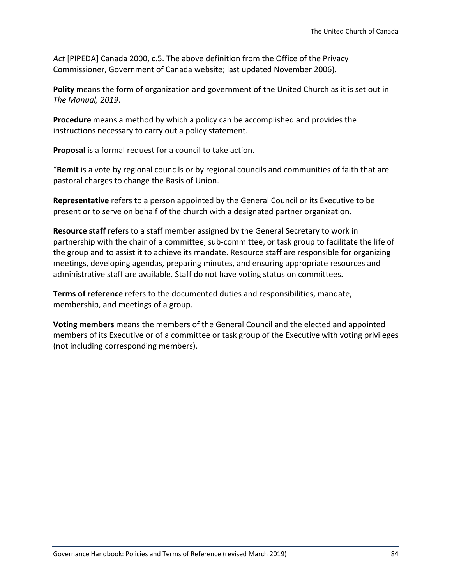*Act* [PIPEDA] Canada 2000, c.5. The above definition from the Office of the Privacy Commissioner, Government of Canada website; last updated November 2006).

**Polity** means the form of organization and government of the United Church as it is set out in *The Manual, 2019*.

**Procedure** means a method by which a policy can be accomplished and provides the instructions necessary to carry out a policy statement.

**Proposal** is a formal request for a council to take action.

"**Remit** is a vote by regional councils or by regional councils and communities of faith that are pastoral charges to change the Basis of Union.

**Representative** refers to a person appointed by the General Council or its Executive to be present or to serve on behalf of the church with a designated partner organization.

**Resource staff** refers to a staff member assigned by the General Secretary to work in partnership with the chair of a committee, sub-committee, or task group to facilitate the life of the group and to assist it to achieve its mandate. Resource staff are responsible for organizing meetings, developing agendas, preparing minutes, and ensuring appropriate resources and administrative staff are available. Staff do not have voting status on committees.

**Terms of reference** refers to the documented duties and responsibilities, mandate, membership, and meetings of a group.

**Voting members** means the members of the General Council and the elected and appointed members of its Executive or of a committee or task group of the Executive with voting privileges (not including corresponding members).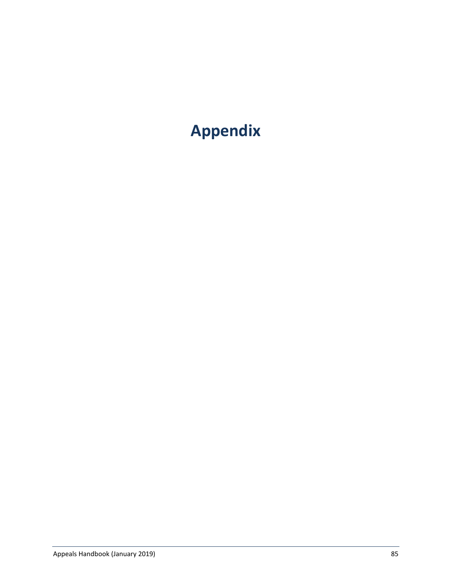# **Appendix**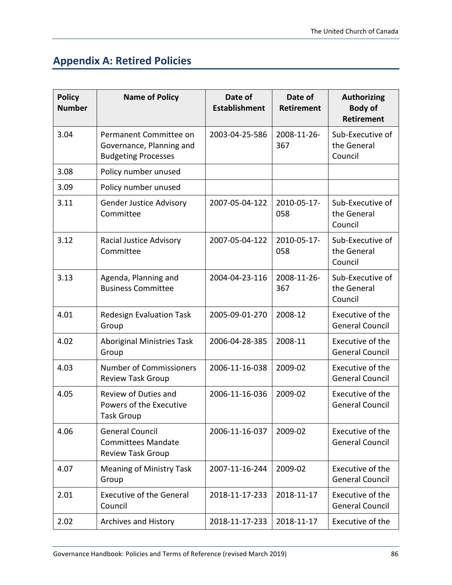## **Appendix A: Retired Policies**

| <b>Policy</b><br><b>Number</b> | <b>Name of Policy</b>                                                            | Date of<br><b>Establishment</b> | Date of<br><b>Retirement</b> | <b>Authorizing</b><br><b>Body of</b><br><b>Retirement</b> |
|--------------------------------|----------------------------------------------------------------------------------|---------------------------------|------------------------------|-----------------------------------------------------------|
| 3.04                           | Permanent Committee on<br>Governance, Planning and<br><b>Budgeting Processes</b> | 2003-04-25-586                  | 2008-11-26-<br>367           | Sub-Executive of<br>the General<br>Council                |
| 3.08                           | Policy number unused                                                             |                                 |                              |                                                           |
| 3.09                           | Policy number unused                                                             |                                 |                              |                                                           |
| 3.11                           | <b>Gender Justice Advisory</b><br>Committee                                      | 2007-05-04-122                  | 2010-05-17-<br>058           | Sub-Executive of<br>the General<br>Council                |
| 3.12                           | Racial Justice Advisory<br>Committee                                             | 2007-05-04-122                  | 2010-05-17-<br>058           | Sub-Executive of<br>the General<br>Council                |
| 3.13                           | Agenda, Planning and<br><b>Business Committee</b>                                | 2004-04-23-116                  | 2008-11-26-<br>367           | Sub-Executive of<br>the General<br>Council                |
| 4.01                           | <b>Redesign Evaluation Task</b><br>Group                                         | 2005-09-01-270                  | 2008-12                      | Executive of the<br><b>General Council</b>                |
| 4.02                           | <b>Aboriginal Ministries Task</b><br>Group                                       | 2006-04-28-385                  | 2008-11                      | Executive of the<br><b>General Council</b>                |
| 4.03                           | <b>Number of Commissioners</b><br><b>Review Task Group</b>                       | 2006-11-16-038                  | 2009-02                      | Executive of the<br><b>General Council</b>                |
| 4.05                           | Review of Duties and<br>Powers of the Executive<br><b>Task Group</b>             | 2006-11-16-036                  | 2009-02                      | Executive of the<br><b>General Council</b>                |
| 4.06                           | <b>General Council</b><br><b>Committees Mandate</b><br><b>Review Task Group</b>  | 2006-11-16-037                  | 2009-02                      | Executive of the<br><b>General Council</b>                |
| 4.07                           | <b>Meaning of Ministry Task</b><br>Group                                         | 2007-11-16-244                  | 2009-02                      | Executive of the<br><b>General Council</b>                |
| 2.01                           | <b>Executive of the General</b><br>Council                                       | 2018-11-17-233                  | 2018-11-17                   | Executive of the<br><b>General Council</b>                |
| 2.02                           | <b>Archives and History</b>                                                      | 2018-11-17-233                  | 2018-11-17                   | Executive of the                                          |